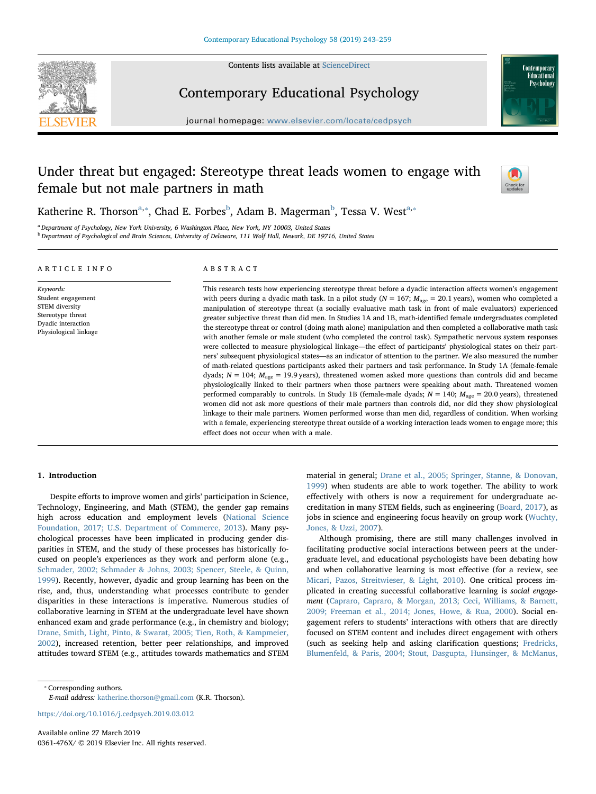

Contents lists available at [ScienceDirect](http://www.sciencedirect.com/science/journal/0361476X)

# Contemporary Educational Psychology



journal homepage: [www.elsevier.com/locate/cedpsych](https://www.elsevier.com/locate/cedpsych)

# Under threat but engaged: Stereotype threat leads women to engage with female but not male partners in math



K[a](#page-0-0)therine R. Thorson $\mathrm{^{a,*}}$ , Chad E. For[b](#page-0-2)es $\mathrm{^{b}}$ , Adam B. Magerman $\mathrm{^{b}}$ , Tessa V. West $\mathrm{^{a,*}}$ 

<span id="page-0-0"></span><sup>a</sup> Department of Psychology, New York University, 6 Washington Place, New York, NY 10003, United States

<span id="page-0-2"></span><sup>b</sup> Department of Psychological and Brain Sciences, University of Delaware, 111 Wolf Hall, Newark, DE 19716, United States

# ARTICLE INFO

Keywords: Student engagement STEM diversity Stereotype threat Dyadic interaction Physiological linkage

# ABSTRACT

This research tests how experiencing stereotype threat before a dyadic interaction affects women's engagement with peers during a dyadic math task. In a pilot study ( $N = 167$ ;  $M_{\text{age}} = 20.1$  years), women who completed a manipulation of stereotype threat (a socially evaluative math task in front of male evaluators) experienced greater subjective threat than did men. In Studies 1A and 1B, math-identified female undergraduates completed the stereotype threat or control (doing math alone) manipulation and then completed a collaborative math task with another female or male student (who completed the control task). Sympathetic nervous system responses were collected to measure physiological linkage—the effect of participants' physiological states on their partners' subsequent physiological states—as an indicator of attention to the partner. We also measured the number of math-related questions participants asked their partners and task performance. In Study 1A (female-female dyads;  $N = 104$ ;  $M_{\text{age}} = 19.9$  years), threatened women asked more questions than controls did and became physiologically linked to their partners when those partners were speaking about math. Threatened women performed comparably to controls. In Study 1B (female-male dyads;  $N = 140$ ;  $M_{\text{age}} = 20.0$  years), threatened women did not ask more questions of their male partners than controls did, nor did they show physiological linkage to their male partners. Women performed worse than men did, regardless of condition. When working with a female, experiencing stereotype threat outside of a working interaction leads women to engage more; this effect does not occur when with a male.

## 1. Introduction

Despite efforts to improve women and girls' participation in Science, Technology, Engineering, and Math (STEM), the gender gap remains high across education and employment levels [\(National Science](#page-16-0) [Foundation, 2017; U.S. Department of Commerce, 2013](#page-16-0)). Many psychological processes have been implicated in producing gender disparities in STEM, and the study of these processes has historically focused on people's experiences as they work and perform alone (e.g., [Schmader, 2002; Schmader & Johns, 2003; Spencer, Steele, & Quinn,](#page-16-1) [1999\)](#page-16-1). Recently, however, dyadic and group learning has been on the rise, and, thus, understanding what processes contribute to gender disparities in these interactions is imperative. Numerous studies of collaborative learning in STEM at the undergraduate level have shown enhanced exam and grade performance (e.g., in chemistry and biology; [Drane, Smith, Light, Pinto, & Swarat, 2005; Tien, Roth, & Kampmeier,](#page-15-0) [2002\)](#page-15-0), increased retention, better peer relationships, and improved attitudes toward STEM (e.g., attitudes towards mathematics and STEM

material in general; [Drane et al., 2005; Springer, Stanne, & Donovan,](#page-15-0) [1999\)](#page-15-0) when students are able to work together. The ability to work effectively with others is now a requirement for undergraduate accreditation in many STEM fields, such as engineering ([Board, 2017\)](#page-14-0), as jobs in science and engineering focus heavily on group work [\(Wuchty,](#page-16-2) [Jones, & Uzzi, 2007\)](#page-16-2).

Although promising, there are still many challenges involved in facilitating productive social interactions between peers at the undergraduate level, and educational psychologists have been debating how and when collaborative learning is most effective (for a review, see [Micari, Pazos, Streitwieser, & Light, 2010\)](#page-16-3). One critical process implicated in creating successful collaborative learning is social engagement [\(Capraro, Capraro, & Morgan, 2013; Ceci, Williams, & Barnett,](#page-15-1) [2009; Freeman et al., 2014; Jones, Howe, & Rua, 2000\)](#page-15-1). Social engagement refers to students' interactions with others that are directly focused on STEM content and includes direct engagement with others (such as seeking help and asking clarification questions; [Fredricks,](#page-15-2) [Blumenfeld, & Paris, 2004; Stout, Dasgupta, Hunsinger, & McManus,](#page-15-2)

<span id="page-0-1"></span>⁎ Corresponding authors.

E-mail address: [katherine.thorson@gmail.com](mailto:katherine.thorson@gmail.com) (K.R. Thorson).

<https://doi.org/10.1016/j.cedpsych.2019.03.012>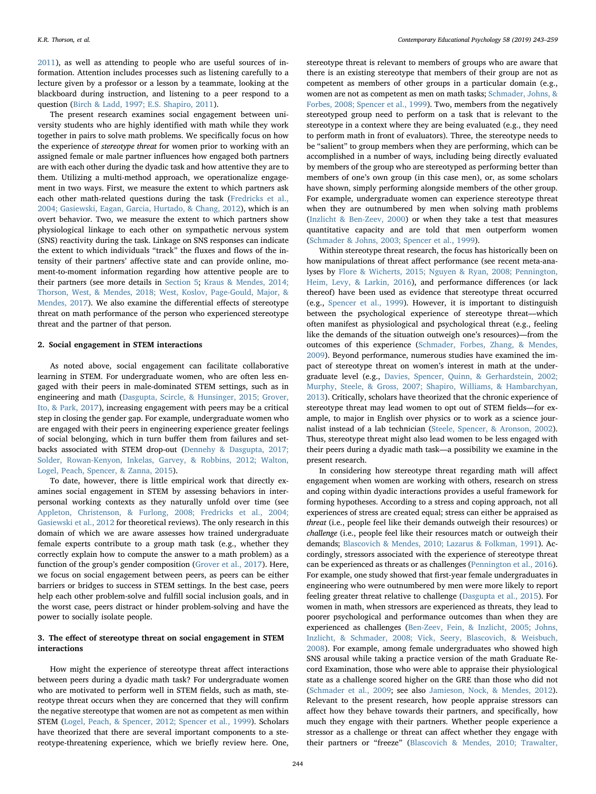[2011\)](#page-15-2), as well as attending to people who are useful sources of information. Attention includes processes such as listening carefully to a lecture given by a professor or a lesson by a teammate, looking at the blackboard during instruction, and listening to a peer respond to a question [\(Birch & Ladd, 1997; E.S. Shapiro, 2011\)](#page-15-3).

The present research examines social engagement between university students who are highly identified with math while they work together in pairs to solve math problems. We specifically focus on how the experience of stereotype threat for women prior to working with an assigned female or male partner influences how engaged both partners are with each other during the dyadic task and how attentive they are to them. Utilizing a multi-method approach, we operationalize engagement in two ways. First, we measure the extent to which partners ask each other math-related questions during the task ([Fredricks et al.,](#page-15-2) [2004; Gasiewski, Eagan, Garcia, Hurtado, & Chang, 2012](#page-15-2)), which is an overt behavior. Two, we measure the extent to which partners show physiological linkage to each other on sympathetic nervous system (SNS) reactivity during the task. Linkage on SNS responses can indicate the extent to which individuals "track" the fluxes and flows of the intensity of their partners' affective state and can provide online, moment-to-moment information regarding how attentive people are to their partners (see more details in [Section 5;](#page-3-0) [Kraus & Mendes, 2014;](#page-15-4) [Thorson, West, & Mendes, 2018; West, Koslov, Page-Gould, Major, &](#page-15-4) [Mendes, 2017\)](#page-15-4). We also examine the differential effects of stereotype threat on math performance of the person who experienced stereotype threat and the partner of that person.

# 2. Social engagement in STEM interactions

As noted above, social engagement can facilitate collaborative learning in STEM. For undergraduate women, who are often less engaged with their peers in male-dominated STEM settings, such as in engineering and math [\(Dasgupta, Scircle, & Hunsinger, 2015; Grover,](#page-15-5) [Ito, & Park, 2017\)](#page-15-5), increasing engagement with peers may be a critical step in closing the gender gap. For example, undergraduate women who are engaged with their peers in engineering experience greater feelings of social belonging, which in turn buffer them from failures and setbacks associated with STEM drop-out [\(Dennehy & Dasgupta, 2017;](#page-15-6) [Solder, Rowan-Kenyon, Inkelas, Garvey, & Robbins, 2012; Walton,](#page-15-6) [Logel, Peach, Spencer, & Zanna, 2015\)](#page-15-6).

To date, however, there is little empirical work that directly examines social engagement in STEM by assessing behaviors in interpersonal working contexts as they naturally unfold over time (see [Appleton, Christenson, & Furlong, 2008; Fredricks et al., 2004;](#page-14-1) [Gasiewski et al., 2012](#page-14-1) for theoretical reviews). The only research in this domain of which we are aware assesses how trained undergraduate female experts contribute to a group math task (e.g., whether they correctly explain how to compute the answer to a math problem) as a function of the group's gender composition [\(Grover et al., 2017\)](#page-15-7). Here, we focus on social engagement between peers, as peers can be either barriers or bridges to success in STEM settings. In the best case, peers help each other problem-solve and fulfill social inclusion goals, and in the worst case, peers distract or hinder problem-solving and have the power to socially isolate people.

# 3. The effect of stereotype threat on social engagement in STEM interactions

How might the experience of stereotype threat affect interactions between peers during a dyadic math task? For undergraduate women who are motivated to perform well in STEM fields, such as math, stereotype threat occurs when they are concerned that they will confirm the negative stereotype that women are not as competent as men within STEM [\(Logel, Peach, & Spencer, 2012; Spencer et al., 1999\)](#page-15-8). Scholars have theorized that there are several important components to a stereotype-threatening experience, which we briefly review here. One, stereotype threat is relevant to members of groups who are aware that there is an existing stereotype that members of their group are not as competent as members of other groups in a particular domain (e.g., women are not as competent as men on math tasks; [Schmader, Johns, &](#page-16-4) [Forbes, 2008; Spencer et al., 1999\)](#page-16-4). Two, members from the negatively stereotyped group need to perform on a task that is relevant to the stereotype in a context where they are being evaluated (e.g., they need to perform math in front of evaluators). Three, the stereotype needs to be "salient" to group members when they are performing, which can be accomplished in a number of ways, including being directly evaluated by members of the group who are stereotyped as performing better than members of one's own group (in this case men), or, as some scholars have shown, simply performing alongside members of the other group. For example, undergraduate women can experience stereotype threat when they are outnumbered by men when solving math problems ([Inzlicht & Ben-Zeev, 2000](#page-15-9)) or when they take a test that measures quantitative capacity and are told that men outperform women ([Schmader & Johns, 2003; Spencer et al., 1999\)](#page-16-5).

Within stereotype threat research, the focus has historically been on how manipulations of threat affect performance (see recent meta-analyses by [Flore & Wicherts, 2015; Nguyen & Ryan, 2008; Pennington,](#page-15-10) [Heim, Levy, & Larkin, 2016](#page-15-10)), and performance differences (or lack thereof) have been used as evidence that stereotype threat occurred (e.g., [Spencer et al., 1999](#page-16-6)). However, it is important to distinguish between the psychological experience of stereotype threat—which often manifest as physiological and psychological threat (e.g., feeling like the demands of the situation outweigh one's resources)—from the outcomes of this experience ([Schmader, Forbes, Zhang, & Mendes,](#page-16-7) [2009\)](#page-16-7). Beyond performance, numerous studies have examined the impact of stereotype threat on women's interest in math at the undergraduate level (e.g., [Davies, Spencer, Quinn, & Gerhardstein, 2002;](#page-15-11) [Murphy, Steele, & Gross, 2007; Shapiro, Williams, & Hambarchyan,](#page-15-11) [2013\)](#page-15-11). Critically, scholars have theorized that the chronic experience of stereotype threat may lead women to opt out of STEM fields—for example, to major in English over physics or to work as a science journalist instead of a lab technician [\(Steele, Spencer, & Aronson, 2002](#page-16-8)). Thus, stereotype threat might also lead women to be less engaged with their peers during a dyadic math task—a possibility we examine in the present research.

In considering how stereotype threat regarding math will affect engagement when women are working with others, research on stress and coping within dyadic interactions provides a useful framework for forming hypotheses. According to a stress and coping approach, not all experiences of stress are created equal; stress can either be appraised as threat (i.e., people feel like their demands outweigh their resources) or challenge (i.e., people feel like their resources match or outweigh their demands; [Blascovich & Mendes, 2010; Lazarus & Folkman, 1991](#page-15-12)). Accordingly, stressors associated with the experience of stereotype threat can be experienced as threats or as challenges ([Pennington et al., 2016](#page-16-9)). For example, one study showed that first-year female undergraduates in engineering who were outnumbered by men were more likely to report feeling greater threat relative to challenge [\(Dasgupta et al., 2015](#page-15-5)). For women in math, when stressors are experienced as threats, they lead to poorer psychological and performance outcomes than when they are experienced as challenges [\(Ben-Zeev, Fein, & Inzlicht, 2005; Johns,](#page-14-2) [Inzlicht, & Schmader, 2008; Vick, Seery, Blascovich, & Weisbuch,](#page-14-2) [2008\)](#page-14-2). For example, among female undergraduates who showed high SNS arousal while taking a practice version of the math Graduate Record Examination, those who were able to appraise their physiological state as a challenge scored higher on the GRE than those who did not ([Schmader et al., 2009](#page-16-7); see also [Jamieson, Nock, & Mendes, 2012](#page-15-13)). Relevant to the present research, how people appraise stressors can affect how they behave towards their partners, and specifically, how much they engage with their partners. Whether people experience a stressor as a challenge or threat can affect whether they engage with their partners or "freeze" ([Blascovich & Mendes, 2010; Trawalter,](#page-15-12)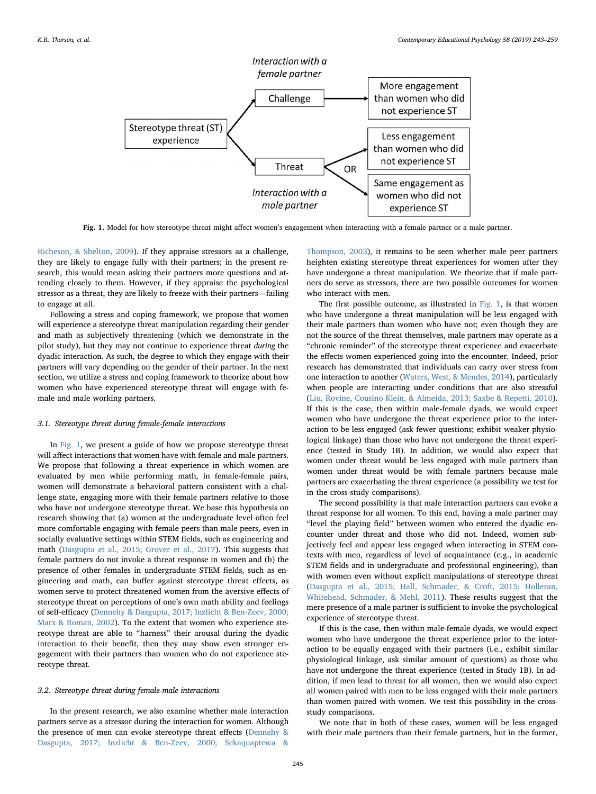<span id="page-2-0"></span>

Fig. 1. Model for how stereotype threat might affect women's engagement when interacting with a female partner or a male partner.

[Richeson, & Shelton, 2009\)](#page-15-12). If they appraise stressors as a challenge, they are likely to engage fully with their partners; in the present research, this would mean asking their partners more questions and attending closely to them. However, if they appraise the psychological stressor as a threat, they are likely to freeze with their partners—failing to engage at all.

Following a stress and coping framework, we propose that women will experience a stereotype threat manipulation regarding their gender and math as subjectively threatening (which we demonstrate in the pilot study), but they may not continue to experience threat during the dyadic interaction. As such, the degree to which they engage with their partners will vary depending on the gender of their partner. In the next section, we utilize a stress and coping framework to theorize about how women who have experienced stereotype threat will engage with female and male working partners.

## 3.1. Stereotype threat during female-female interactions

In [Fig. 1,](#page-2-0) we present a guide of how we propose stereotype threat will affect interactions that women have with female and male partners. We propose that following a threat experience in which women are evaluated by men while performing math, in female-female pairs, women will demonstrate a behavioral pattern consistent with a challenge state, engaging more with their female partners relative to those who have not undergone stereotype threat. We base this hypothesis on research showing that (a) women at the undergraduate level often feel more comfortable engaging with female peers than male peers, even in socially evaluative settings within STEM fields, such as engineering and math [\(Dasgupta et al., 2015; Grover et al., 2017](#page-15-5)). This suggests that female partners do not invoke a threat response in women and (b) the presence of other females in undergraduate STEM fields, such as engineering and math, can buffer against stereotype threat effects, as women serve to protect threatened women from the aversive effects of stereotype threat on perceptions of one's own math ability and feelings of self-efficacy ([Dennehy & Dasgupta, 2017; Inzlicht & Ben-Zeev, 2000;](#page-15-6) [Marx & Roman, 2002\)](#page-15-6). To the extent that women who experience stereotype threat are able to "harness" their arousal during the dyadic interaction to their benefit, then they may show even stronger engagement with their partners than women who do not experience stereotype threat.

#### 3.2. Stereotype threat during female-male interactions

In the present research, we also examine whether male interaction partners serve as a stressor during the interaction for women. Although the presence of men can evoke stereotype threat effects [\(Dennehy &](#page-15-6) [Dasgupta, 2017; Inzlicht & Ben-Zeev, 2000; Sekaquaptewa &](#page-15-6)

[Thompson, 2003](#page-15-6)), it remains to be seen whether male peer partners heighten existing stereotype threat experiences for women after they have undergone a threat manipulation. We theorize that if male partners do serve as stressors, there are two possible outcomes for women who interact with men.

The first possible outcome, as illustrated in [Fig. 1](#page-2-0), is that women who have undergone a threat manipulation will be less engaged with their male partners than women who have not; even though they are not the source of the threat themselves, male partners may operate as a "chronic reminder" of the stereotype threat experience and exacerbate the effects women experienced going into the encounter. Indeed, prior research has demonstrated that individuals can carry over stress from one interaction to another (Waters, [West, & Mendes, 2014](#page-16-10)), particularly when people are interacting under conditions that are also stressful ([Liu, Rovine, Cousino Klein, & Almeida, 2013; Saxbe & Repetti, 2010](#page-15-14)). If this is the case, then within male-female dyads, we would expect women who have undergone the threat experience prior to the interaction to be less engaged (ask fewer questions; exhibit weaker physiological linkage) than those who have not undergone the threat experience (tested in Study 1B). In addition, we would also expect that women under threat would be less engaged with male partners than women under threat would be with female partners because male partners are exacerbating the threat experience (a possibility we test for in the cross-study comparisons).

The second possibility is that male interaction partners can evoke a threat response for all women. To this end, having a male partner may "level the playing field" between women who entered the dyadic encounter under threat and those who did not. Indeed, women subjectively feel and appear less engaged when interacting in STEM contexts with men, regardless of level of acquaintance (e.g., in academic STEM fields and in undergraduate and professional engineering), than with women even without explicit manipulations of stereotype threat ([Dasgupta et al., 2015; Hall, Schmader, & Croft, 2015; Holleran,](#page-15-5) [Whitehead, Schmader, & Mehl, 2011](#page-15-5)). These results suggest that the mere presence of a male partner is sufficient to invoke the psychological experience of stereotype threat.

If this is the case, then within male-female dyads, we would expect women who have undergone the threat experience prior to the interaction to be equally engaged with their partners (i.e., exhibit similar physiological linkage, ask similar amount of questions) as those who have not undergone the threat experience (tested in Study 1B). In addition, if men lead to threat for all women, then we would also expect all women paired with men to be less engaged with their male partners than women paired with women. We test this possibility in the crossstudy comparisons.

We note that in both of these cases, women will be less engaged with their male partners than their female partners, but in the former,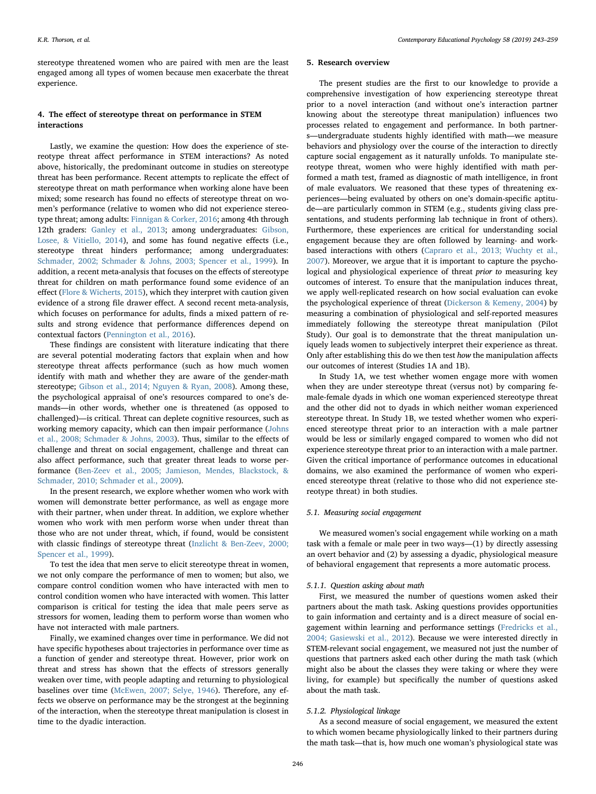stereotype threatened women who are paired with men are the least engaged among all types of women because men exacerbate the threat experience.

# 4. The effect of stereotype threat on performance in STEM interactions

Lastly, we examine the question: How does the experience of stereotype threat affect performance in STEM interactions? As noted above, historically, the predominant outcome in studies on stereotype threat has been performance. Recent attempts to replicate the effect of stereotype threat on math performance when working alone have been mixed; some research has found no effects of stereotype threat on women's performance (relative to women who did not experience stereotype threat; among adults: [Finnigan & Corker, 2016](#page-15-15); among 4th through 12th graders: [Ganley et al., 2013](#page-15-16); among undergraduates: [Gibson,](#page-15-17) [Losee, & Vitiello, 2014](#page-15-17)), and some has found negative effects (i.e., stereotype threat hinders performance; among undergraduates: [Schmader, 2002; Schmader & Johns, 2003; Spencer et al., 1999\)](#page-16-1). In addition, a recent meta-analysis that focuses on the effects of stereotype threat for children on math performance found some evidence of an effect ([Flore & Wicherts, 2015\)](#page-15-10), which they interpret with caution given evidence of a strong file drawer effect. A second recent meta-analysis, which focuses on performance for adults, finds a mixed pattern of results and strong evidence that performance differences depend on contextual factors ([Pennington et al., 2016](#page-16-9)).

These findings are consistent with literature indicating that there are several potential moderating factors that explain when and how stereotype threat affects performance (such as how much women identify with math and whether they are aware of the gender-math stereotype; [Gibson et al., 2014; Nguyen & Ryan, 2008](#page-15-17)). Among these, the psychological appraisal of one's resources compared to one's demands—in other words, whether one is threatened (as opposed to challenged)—is critical. Threat can deplete cognitive resources, such as working memory capacity, which can then impair performance [\(Johns](#page-15-18) [et al., 2008; Schmader & Johns, 2003](#page-15-18)). Thus, similar to the effects of challenge and threat on social engagement, challenge and threat can also affect performance, such that greater threat leads to worse performance [\(Ben-Zeev et al., 2005; Jamieson, Mendes, Blackstock, &](#page-14-2) [Schmader, 2010; Schmader et al., 2009](#page-14-2)).

In the present research, we explore whether women who work with women will demonstrate better performance, as well as engage more with their partner, when under threat. In addition, we explore whether women who work with men perform worse when under threat than those who are not under threat, which, if found, would be consistent with classic findings of stereotype threat ([Inzlicht & Ben-Zeev, 2000;](#page-15-9) [Spencer et al., 1999\)](#page-15-9).

To test the idea that men serve to elicit stereotype threat in women, we not only compare the performance of men to women; but also, we compare control condition women who have interacted with men to control condition women who have interacted with women. This latter comparison is critical for testing the idea that male peers serve as stressors for women, leading them to perform worse than women who have not interacted with male partners.

Finally, we examined changes over time in performance. We did not have specific hypotheses about trajectories in performance over time as a function of gender and stereotype threat. However, prior work on threat and stress has shown that the effects of stressors generally weaken over time, with people adapting and returning to physiological baselines over time ([McEwen, 2007; Selye, 1946](#page-15-19)). Therefore, any effects we observe on performance may be the strongest at the beginning of the interaction, when the stereotype threat manipulation is closest in time to the dyadic interaction.

#### <span id="page-3-0"></span>5. Research overview

The present studies are the first to our knowledge to provide a comprehensive investigation of how experiencing stereotype threat prior to a novel interaction (and without one's interaction partner knowing about the stereotype threat manipulation) influences two processes related to engagement and performance. In both partners—undergraduate students highly identified with math—we measure behaviors and physiology over the course of the interaction to directly capture social engagement as it naturally unfolds. To manipulate stereotype threat, women who were highly identified with math performed a math test, framed as diagnostic of math intelligence, in front of male evaluators. We reasoned that these types of threatening experiences—being evaluated by others on one's domain-specific aptitude—are particularly common in STEM (e.g., students giving class presentations, and students performing lab technique in front of others). Furthermore, these experiences are critical for understanding social engagement because they are often followed by learning- and workbased interactions with others [\(Capraro et al., 2013; Wuchty et al.,](#page-15-1) [2007\)](#page-15-1). Moreover, we argue that it is important to capture the psychological and physiological experience of threat prior to measuring key outcomes of interest. To ensure that the manipulation induces threat, we apply well-replicated research on how social evaluation can evoke the psychological experience of threat ([Dickerson & Kemeny, 2004\)](#page-15-20) by measuring a combination of physiological and self-reported measures immediately following the stereotype threat manipulation (Pilot Study). Our goal is to demonstrate that the threat manipulation uniquely leads women to subjectively interpret their experience as threat. Only after establishing this do we then test how the manipulation affects our outcomes of interest (Studies 1A and 1B).

In Study 1A, we test whether women engage more with women when they are under stereotype threat (versus not) by comparing female-female dyads in which one woman experienced stereotype threat and the other did not to dyads in which neither woman experienced stereotype threat. In Study 1B, we tested whether women who experienced stereotype threat prior to an interaction with a male partner would be less or similarly engaged compared to women who did not experience stereotype threat prior to an interaction with a male partner. Given the critical importance of performance outcomes in educational domains, we also examined the performance of women who experienced stereotype threat (relative to those who did not experience stereotype threat) in both studies.

#### 5.1. Measuring social engagement

We measured women's social engagement while working on a math task with a female or male peer in two ways—(1) by directly assessing an overt behavior and (2) by assessing a dyadic, physiological measure of behavioral engagement that represents a more automatic process.

## 5.1.1. Question asking about math

First, we measured the number of questions women asked their partners about the math task. Asking questions provides opportunities to gain information and certainty and is a direct measure of social engagement within learning and performance settings ([Fredricks et al.,](#page-15-2) [2004; Gasiewski et al., 2012\)](#page-15-2). Because we were interested directly in STEM-relevant social engagement, we measured not just the number of questions that partners asked each other during the math task (which might also be about the classes they were taking or where they were living, for example) but specifically the number of questions asked about the math task.

## 5.1.2. Physiological linkage

As a second measure of social engagement, we measured the extent to which women became physiologically linked to their partners during the math task—that is, how much one woman's physiological state was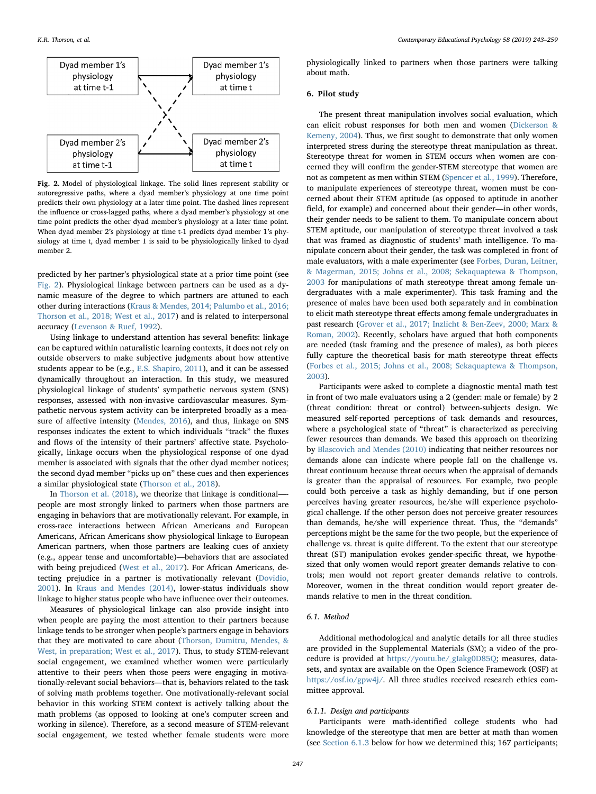<span id="page-4-0"></span>

Fig. 2. Model of physiological linkage. The solid lines represent stability or autoregressive paths, where a dyad member's physiology at one time point predicts their own physiology at a later time point. The dashed lines represent the influence or cross-lagged paths, where a dyad member's physiology at one time point predicts the other dyad member's physiology at a later time point. When dyad member 2's physiology at time t-1 predicts dyad member 1's physiology at time t, dyad member 1 is said to be physiologically linked to dyad member 2.

predicted by her partner's physiological state at a prior time point (see [Fig. 2\)](#page-4-0). Physiological linkage between partners can be used as a dynamic measure of the degree to which partners are attuned to each other during interactions [\(Kraus & Mendes, 2014; Palumbo et al., 2016;](#page-15-4) [Thorson et al., 2018; West et al., 2017](#page-15-4)) and is related to interpersonal accuracy [\(Levenson & Ruef, 1992](#page-15-21)).

Using linkage to understand attention has several benefits: linkage can be captured within naturalistic learning contexts, it does not rely on outside observers to make subjective judgments about how attentive students appear to be (e.g., [E.S. Shapiro, 2011\)](#page-16-11), and it can be assessed dynamically throughout an interaction. In this study, we measured physiological linkage of students' sympathetic nervous system (SNS) responses, assessed with non-invasive cardiovascular measures. Sympathetic nervous system activity can be interpreted broadly as a measure of affective intensity ([Mendes, 2016](#page-16-12)), and thus, linkage on SNS responses indicates the extent to which individuals "track" the fluxes and flows of the intensity of their partners' affective state. Psychologically, linkage occurs when the physiological response of one dyad member is associated with signals that the other dyad member notices; the second dyad member "picks up on" these cues and then experiences a similar physiological state ([Thorson et al., 2018](#page-16-13)).

In [Thorson et al. \(2018\),](#page-16-13) we theorize that linkage is conditionalpeople are most strongly linked to partners when those partners are engaging in behaviors that are motivationally relevant. For example, in cross-race interactions between African Americans and European Americans, African Americans show physiological linkage to European American partners, when those partners are leaking cues of anxiety (e.g., appear tense and uncomfortable)—behaviors that are associated with being prejudiced [\(West et al., 2017\)](#page-16-14). For African Americans, detecting prejudice in a partner is motivationally relevant ([Dovidio,](#page-15-22) [2001\)](#page-15-22). In [Kraus and Mendes \(2014\)](#page-15-4), lower-status individuals show linkage to higher status people who have influence over their outcomes.

Measures of physiological linkage can also provide insight into when people are paying the most attention to their partners because linkage tends to be stronger when people's partners engage in behaviors that they are motivated to care about [\(Thorson, Dumitru, Mendes, &](#page-16-15) [West, in preparation; West et al., 2017\)](#page-16-15). Thus, to study STEM-relevant social engagement, we examined whether women were particularly attentive to their peers when those peers were engaging in motivationally-relevant social behaviors—that is, behaviors related to the task of solving math problems together. One motivationally-relevant social behavior in this working STEM context is actively talking about the math problems (as opposed to looking at one's computer screen and working in silence). Therefore, as a second measure of STEM-relevant social engagement, we tested whether female students were more

physiologically linked to partners when those partners were talking about math.

# 6. Pilot study

The present threat manipulation involves social evaluation, which can elicit robust responses for both men and women ([Dickerson &](#page-15-20) [Kemeny, 2004\)](#page-15-20). Thus, we first sought to demonstrate that only women interpreted stress during the stereotype threat manipulation as threat. Stereotype threat for women in STEM occurs when women are concerned they will confirm the gender-STEM stereotype that women are not as competent as men within STEM ([Spencer et al., 1999](#page-16-6)). Therefore, to manipulate experiences of stereotype threat, women must be concerned about their STEM aptitude (as opposed to aptitude in another field, for example) and concerned about their gender—in other words, their gender needs to be salient to them. To manipulate concern about STEM aptitude, our manipulation of stereotype threat involved a task that was framed as diagnostic of students' math intelligence. To manipulate concern about their gender, the task was completed in front of male evaluators, with a male experimenter (see [Forbes, Duran, Leitner,](#page-15-23) [& Magerman, 2015; Johns et al., 2008; Sekaquaptewa & Thompson,](#page-15-23) [2003](#page-15-23) for manipulations of math stereotype threat among female undergraduates with a male experimenter). This task framing and the presence of males have been used both separately and in combination to elicit math stereotype threat effects among female undergraduates in past research [\(Grover et al., 2017; Inzlicht & Ben-Zeev, 2000; Marx &](#page-15-7) [Roman, 2002\)](#page-15-7). Recently, scholars have argued that both components are needed (task framing and the presence of males), as both pieces fully capture the theoretical basis for math stereotype threat effects ([Forbes et al., 2015; Johns et al., 2008; Sekaquaptewa & Thompson,](#page-15-23) [2003\)](#page-15-23).

Participants were asked to complete a diagnostic mental math test in front of two male evaluators using a 2 (gender: male or female) by 2 (threat condition: threat or control) between-subjects design. We measured self-reported perceptions of task demands and resources, where a psychological state of "threat" is characterized as perceiving fewer resources than demands. We based this approach on theorizing by [Blascovich and Mendes \(2010\)](#page-15-12) indicating that neither resources nor demands alone can indicate where people fall on the challenge vs. threat continuum because threat occurs when the appraisal of demands is greater than the appraisal of resources. For example, two people could both perceive a task as highly demanding, but if one person perceives having greater resources, he/she will experience psychological challenge. If the other person does not perceive greater resources than demands, he/she will experience threat. Thus, the "demands" perceptions might be the same for the two people, but the experience of challenge vs. threat is quite different. To the extent that our stereotype threat (ST) manipulation evokes gender-specific threat, we hypothesized that only women would report greater demands relative to controls; men would not report greater demands relative to controls. Moreover, women in the threat condition would report greater demands relative to men in the threat condition.

# 6.1. Method

Additional methodological and analytic details for all three studies are provided in the Supplemental Materials (SM); a video of the procedure is provided at [https://youtu.be/\\_gIakg0D85Q](https://youtu.be/_gIakg0D85Q); measures, datasets, and syntax are available on the Open Science Framework (OSF) at [https://osf.io/gpw4j/.](https://osf.io/gpw4j/) All three studies received research ethics committee approval.

## 6.1.1. Design and participants

Participants were math-identified college students who had knowledge of the stereotype that men are better at math than women (see [Section](#page-5-0) 6.1.3 below for how we determined this; 167 participants;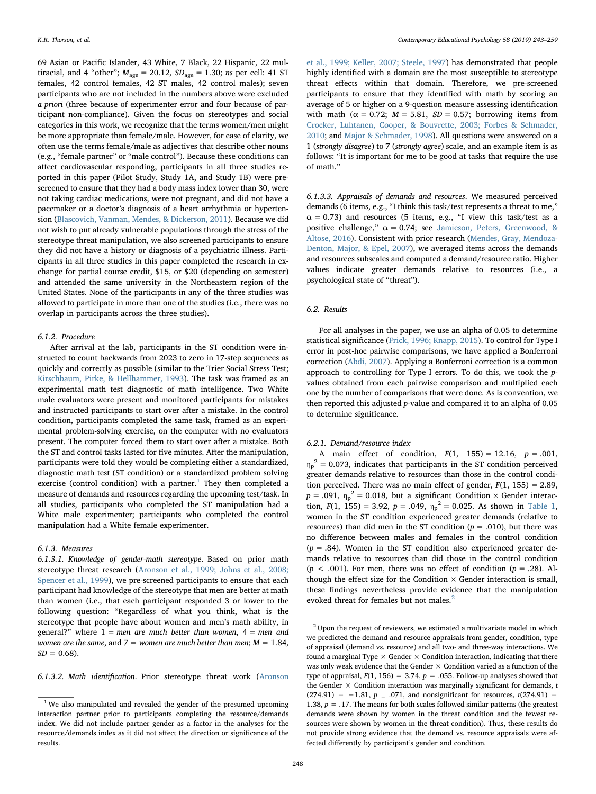69 Asian or Pacific Islander, 43 White, 7 Black, 22 Hispanic, 22 multiracial, and 4 "other";  $M_{\text{age}} = 20.12$ ,  $SD_{\text{age}} = 1.30$ ; ns per cell: 41 ST females, 42 control females, 42 ST males, 42 control males); seven participants who are not included in the numbers above were excluded a priori (three because of experimenter error and four because of participant non-compliance). Given the focus on stereotypes and social categories in this work, we recognize that the terms women/men might be more appropriate than female/male. However, for ease of clarity, we often use the terms female/male as adjectives that describe other nouns (e.g., "female partner" or "male control"). Because these conditions can affect cardiovascular responding, participants in all three studies reported in this paper (Pilot Study, Study 1A, and Study 1B) were prescreened to ensure that they had a body mass index lower than 30, were not taking cardiac medications, were not pregnant, and did not have a pacemaker or a doctor's diagnosis of a heart arrhythmia or hypertension [\(Blascovich, Vanman, Mendes, & Dickerson, 2011\)](#page-15-24). Because we did not wish to put already vulnerable populations through the stress of the stereotype threat manipulation, we also screened participants to ensure they did not have a history or diagnosis of a psychiatric illness. Participants in all three studies in this paper completed the research in exchange for partial course credit, \$15, or \$20 (depending on semester) and attended the same university in the Northeastern region of the United States. None of the participants in any of the three studies was allowed to participate in more than one of the studies (i.e., there was no overlap in participants across the three studies).

## 6.1.2. Procedure

After arrival at the lab, participants in the ST condition were instructed to count backwards from 2023 to zero in 17-step sequences as quickly and correctly as possible (similar to the Trier Social Stress Test; [Kirschbaum, Pirke, & Hellhammer, 1993\)](#page-15-25). The task was framed as an experimental math test diagnostic of math intelligence. Two White male evaluators were present and monitored participants for mistakes and instructed participants to start over after a mistake. In the control condition, participants completed the same task, framed as an experimental problem-solving exercise, on the computer with no evaluators present. The computer forced them to start over after a mistake. Both the ST and control tasks lasted for five minutes. After the manipulation, participants were told they would be completing either a standardized, diagnostic math test (ST condition) or a standardized problem solving exercise (control condition) with a partner.<sup>[1](#page-5-1)</sup> They then completed a measure of demands and resources regarding the upcoming test/task. In all studies, participants who completed the ST manipulation had a White male experimenter; participants who completed the control manipulation had a White female experimenter.

#### <span id="page-5-0"></span>6.1.3. Measures

6.1.3.1. Knowledge of gender-math stereotype. Based on prior math stereotype threat research [\(Aronson et al., 1999; Johns et al., 2008;](#page-14-3) [Spencer et al., 1999](#page-14-3)), we pre-screened participants to ensure that each participant had knowledge of the stereotype that men are better at math than women (i.e., that each participant responded 3 or lower to the following question: "Regardless of what you think, what is the stereotype that people have about women and men's math ability, in general?" where  $1 =$  men are much better than women,  $4 =$  men and women are the same, and  $7 =$  women are much better than men;  $M = 1.84$ ,  $SD = 0.68$ ).

6.1.3.2. Math identification. Prior stereotype threat work [\(Aronson](#page-14-3)

[et al., 1999; Keller, 2007; Steele, 1997\)](#page-14-3) has demonstrated that people highly identified with a domain are the most susceptible to stereotype threat effects within that domain. Therefore, we pre-screened participants to ensure that they identified with math by scoring an average of 5 or higher on a 9-question measure assessing identification with math ( $\alpha = 0.72$ ;  $M = 5.81$ ,  $SD = 0.57$ ; borrowing items from [Crocker, Luhtanen, Cooper, & Bouvrette, 2003; Forbes & Schmader,](#page-15-26) [2010;](#page-15-26) and [Major & Schmader, 1998](#page-15-27)). All questions were answered on a 1 (strongly disagree) to 7 (strongly agree) scale, and an example item is as follows: "It is important for me to be good at tasks that require the use of math."

6.1.3.3. Appraisals of demands and resources. We measured perceived demands (6 items, e.g., "I think this task/test represents a threat to me,"  $\alpha = 0.73$ ) and resources (5 items, e.g., "I view this task/test as a positive challenge,"  $\alpha = 0.74$ ; see [Jamieson, Peters, Greenwood, &](#page-15-28) [Altose, 2016\)](#page-15-28). Consistent with prior research [\(Mendes, Gray, Mendoza-](#page-16-16)[Denton, Major, & Epel, 2007](#page-16-16)), we averaged items across the demands and resources subscales and computed a demand/resource ratio. Higher values indicate greater demands relative to resources (i.e., a psychological state of "threat").

# 6.2. Results

For all analyses in the paper, we use an alpha of 0.05 to determine statistical significance ([Frick, 1996; Knapp, 2015\)](#page-15-29). To control for Type I error in post-hoc pairwise comparisons, we have applied a Bonferroni correction ([Abdi, 2007\)](#page-14-4). Applying a Bonferroni correction is a common approach to controlling for Type I errors. To do this, we took the pvalues obtained from each pairwise comparison and multiplied each one by the number of comparisons that were done. As is convention, we then reported this adjusted  $p$ -value and compared it to an alpha of  $0.05$ to determine significance.

#### 6.2.1. Demand/resource index

A main effect of condition,  $F(1, 155) = 12.16, p = .001$ ,  $\eta_p^2$  = 0.073, indicates that participants in the ST condition perceived greater demands relative to resources than those in the control condition perceived. There was no main effect of gender,  $F(1, 155) = 2.89$ ,  $p = .091$ ,  $\eta_p^2 = 0.018$ , but a significant Condition  $\times$  Gender interaction,  $F(1, 155) = 3.92$ ,  $p = .049$ ,  $\eta_p^2 = 0.025$ . As shown in [Table 1](#page-6-0), women in the ST condition experienced greater demands (relative to resources) than did men in the ST condition ( $p = .010$ ), but there was no difference between males and females in the control condition  $(p = .84)$ . Women in the ST condition also experienced greater demands relative to resources than did those in the control condition  $(p < .001)$ . For men, there was no effect of condition  $(p = .28)$ . Although the effect size for the Condition  $\times$  Gender interaction is small, these findings nevertheless provide evidence that the manipulation evoked threat for females but not males.<sup>[2](#page-5-2)</sup>

<span id="page-5-1"></span><sup>&</sup>lt;sup>1</sup> We also manipulated and revealed the gender of the presumed upcoming interaction partner prior to participants completing the resource/demands index. We did not include partner gender as a factor in the analyses for the resource/demands index as it did not affect the direction or significance of the results.

<span id="page-5-2"></span> $2$  Upon the request of reviewers, we estimated a multivariate model in which we predicted the demand and resource appraisals from gender, condition, type of appraisal (demand vs. resource) and all two- and three-way interactions. We found a marginal Type  $\times$  Gender  $\times$  Condition interaction, indicating that there was only weak evidence that the Gender  $\times$  Condition varied as a function of the type of appraisal,  $F(1, 156) = 3.74$ ,  $p = .055$ . Follow-up analyses showed that the Gender  $\times$  Condition interaction was marginally significant for demands,  $t$  $(274.91) = -1.81, p = .071,$  and nonsignificant for resources,  $t(274.91) =$ 1.38,  $p=.17$ . The means for both scales followed similar patterns (the greatest demands were shown by women in the threat condition and the fewest resources were shown by women in the threat condition). Thus, these results do not provide strong evidence that the demand vs. resource appraisals were affected differently by participant's gender and condition.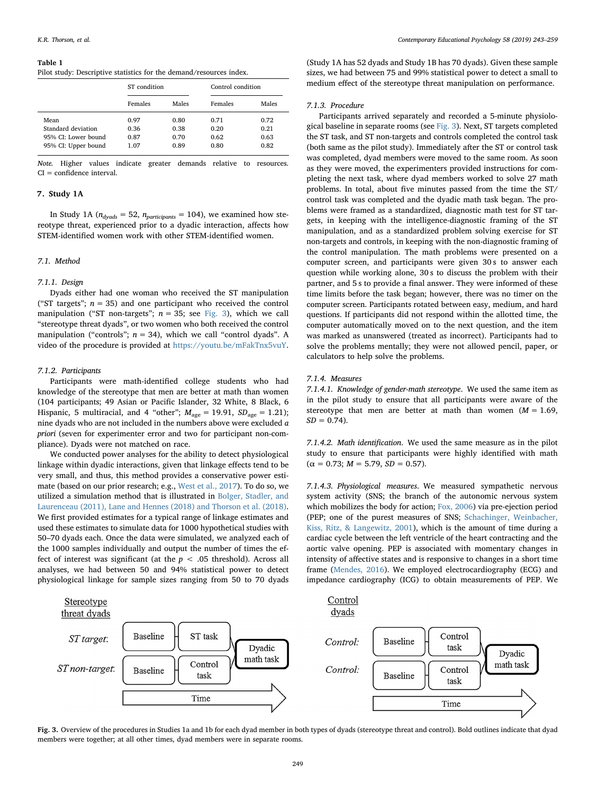#### <span id="page-6-0"></span>Table 1

Pilot study: Descriptive statistics for the demand/resources index.

|                                                                          | ST condition                 |                              | Control condition            |                              |
|--------------------------------------------------------------------------|------------------------------|------------------------------|------------------------------|------------------------------|
|                                                                          | Females                      | Males                        | Females                      | Males                        |
| Mean<br>Standard deviation<br>95% CI: Lower bound<br>95% CI: Upper bound | 0.97<br>0.36<br>0.87<br>1.07 | 0.80<br>0.38<br>0.70<br>0.89 | 0.71<br>0.20<br>0.62<br>0.80 | 0.72<br>0.21<br>0.63<br>0.82 |

Note. Higher values indicate greater demands relative to resources.  $CI = confidence interval$ 

# 7. Study 1A

In Study 1A ( $n_{\text{dyads}} = 52$ ,  $n_{\text{participants}} = 104$ ), we examined how stereotype threat, experienced prior to a dyadic interaction, affects how STEM-identified women work with other STEM-identified women.

#### 7.1. Method

#### 7.1.1. Design

Dyads either had one woman who received the ST manipulation ("ST targets";  $n = 35$ ) and one participant who received the control manipulation ("ST non-targets";  $n = 35$ ; see [Fig. 3\)](#page-6-1), which we call "stereotype threat dyads", or two women who both received the control manipulation ("controls";  $n = 34$ ), which we call "control dyads". A video of the procedure is provided at <https://youtu.be/mFakTnx5vuY>.

## 7.1.2. Participants

Participants were math-identified college students who had knowledge of the stereotype that men are better at math than women (104 participants; 49 Asian or Pacific Islander, 32 White, 8 Black, 6 Hispanic, 5 multiracial, and 4 "other";  $M_{\text{age}} = 19.91$ ,  $SD_{\text{age}} = 1.21$ ); nine dyads who are not included in the numbers above were excluded a priori (seven for experimenter error and two for participant non-compliance). Dyads were not matched on race.

We conducted power analyses for the ability to detect physiological linkage within dyadic interactions, given that linkage effects tend to be very small, and thus, this method provides a conservative power estimate (based on our prior research; e.g., [West et al., 2017](#page-16-14)). To do so, we utilized a simulation method that is illustrated in [Bolger, Stadler, and](#page-15-30) [Laurenceau \(2011\), Lane and Hennes \(2018\) and Thorson et al. \(2018\)](#page-15-30). We first provided estimates for a typical range of linkage estimates and used these estimates to simulate data for 1000 hypothetical studies with 50–70 dyads each. Once the data were simulated, we analyzed each of the 1000 samples individually and output the number of times the effect of interest was significant (at the  $p < .05$  threshold). Across all analyses, we had between 50 and 94% statistical power to detect physiological linkage for sample sizes ranging from 50 to 70 dyads

(Study 1A has 52 dyads and Study 1B has 70 dyads). Given these sample sizes, we had between 75 and 99% statistical power to detect a small to medium effect of the stereotype threat manipulation on performance.

## 7.1.3. Procedure

Participants arrived separately and recorded a 5-minute physiological baseline in separate rooms (see [Fig. 3](#page-6-1)). Next, ST targets completed the ST task, and ST non-targets and controls completed the control task (both same as the pilot study). Immediately after the ST or control task was completed, dyad members were moved to the same room. As soon as they were moved, the experimenters provided instructions for completing the next task, where dyad members worked to solve 27 math problems. In total, about five minutes passed from the time the ST/ control task was completed and the dyadic math task began. The problems were framed as a standardized, diagnostic math test for ST targets, in keeping with the intelligence-diagnostic framing of the ST manipulation, and as a standardized problem solving exercise for ST non-targets and controls, in keeping with the non-diagnostic framing of the control manipulation. The math problems were presented on a computer screen, and participants were given 30 s to answer each question while working alone, 30 s to discuss the problem with their partner, and 5 s to provide a final answer. They were informed of these time limits before the task began; however, there was no timer on the computer screen. Participants rotated between easy, medium, and hard questions. If participants did not respond within the allotted time, the computer automatically moved on to the next question, and the item was marked as unanswered (treated as incorrect). Participants had to solve the problems mentally; they were not allowed pencil, paper, or calculators to help solve the problems.

#### 7.1.4. Measures

7.1.4.1. Knowledge of gender-math stereotype. We used the same item as in the pilot study to ensure that all participants were aware of the stereotype that men are better at math than women  $(M = 1.69,$  $SD = 0.74$ .

7.1.4.2. Math identification. We used the same measure as in the pilot study to ensure that participants were highly identified with math  $(\alpha = 0.73; M = 5.79, SD = 0.57).$ 

7.1.4.3. Physiological measures. We measured sympathetic nervous system activity (SNS; the branch of the autonomic nervous system which mobilizes the body for action; [Fox, 2006\)](#page-15-31) via pre-ejection period (PEP; one of the purest measures of SNS; [Schachinger, Weinbacher,](#page-16-17) [Kiss, Ritz, & Langewitz, 2001\)](#page-16-17), which is the amount of time during a cardiac cycle between the left ventricle of the heart contracting and the aortic valve opening. PEP is associated with momentary changes in intensity of affective states and is responsive to changes in a short time frame ([Mendes, 2016](#page-16-12)). We employed electrocardiography (ECG) and impedance cardiography (ICG) to obtain measurements of PEP. We

<span id="page-6-1"></span>

Fig. 3. Overview of the procedures in Studies 1a and 1b for each dyad member in both types of dyads (stereotype threat and control). Bold outlines indicate that dyad members were together; at all other times, dyad members were in separate rooms.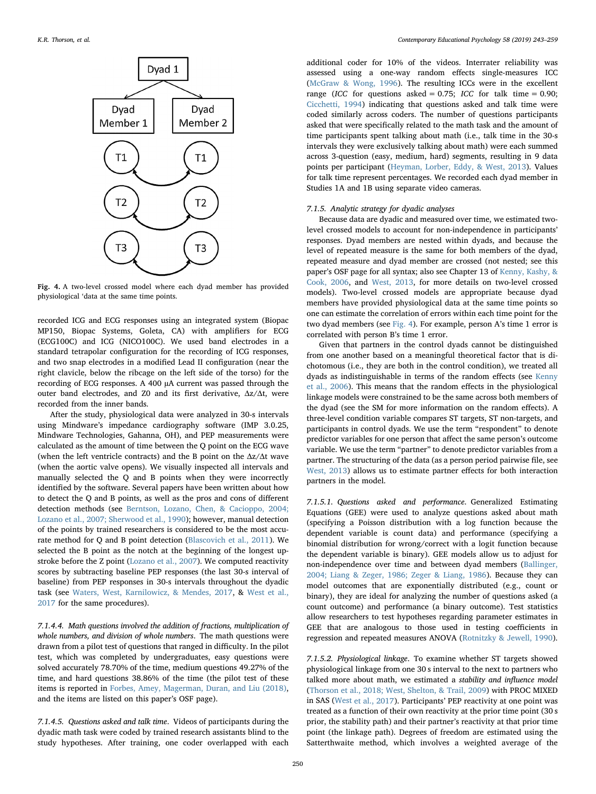<span id="page-7-0"></span>

Fig. 4. A two-level crossed model where each dyad member has provided physiological 'data at the same time points.

recorded ICG and ECG responses using an integrated system (Biopac MP150, Biopac Systems, Goleta, CA) with amplifiers for ECG (ECG100C) and ICG (NICO100C). We used band electrodes in a standard tetrapolar configuration for the recording of ICG responses, and two snap electrodes in a modified Lead II configuration (near the right clavicle, below the ribcage on the left side of the torso) for the recording of ECG responses. A 400 µA current was passed through the outer band electrodes, and Z0 and its first derivative, Δz/Δt, were recorded from the inner bands.

After the study, physiological data were analyzed in 30-s intervals using Mindware's impedance cardiography software (IMP 3.0.25, Mindware Technologies, Gahanna, OH), and PEP measurements were calculated as the amount of time between the Q point on the ECG wave (when the left ventricle contracts) and the B point on the  $\Delta z/\Delta t$  wave (when the aortic valve opens). We visually inspected all intervals and manually selected the Q and B points when they were incorrectly identified by the software. Several papers have been written about how to detect the Q and B points, as well as the pros and cons of different detection methods (see [Berntson, Lozano, Chen, & Cacioppo, 2004;](#page-14-5) [Lozano et al., 2007; Sherwood et al., 1990\)](#page-14-5); however, manual detection of the points by trained researchers is considered to be the most accurate method for Q and B point detection [\(Blascovich et al., 2011](#page-15-24)). We selected the B point as the notch at the beginning of the longest upstroke before the Z point ([Lozano et al., 2007](#page-15-32)). We computed reactivity scores by subtracting baseline PEP responses (the last 30-s interval of baseline) from PEP responses in 30-s intervals throughout the dyadic task (see [Waters, West, Karnilowicz, & Mendes, 2017,](#page-16-18) & [West et al.,](#page-16-14) [2017](#page-16-14) for the same procedures).

7.1.4.4. Math questions involved the addition of fractions, multiplication of whole numbers, and division of whole numbers. The math questions were drawn from a pilot test of questions that ranged in difficulty. In the pilot test, which was completed by undergraduates, easy questions were solved accurately 78.70% of the time, medium questions 49.27% of the time, and hard questions 38.86% of the time (the pilot test of these items is reported in [Forbes, Amey, Magerman, Duran, and Liu \(2018\)](#page-15-33), and the items are listed on this paper's OSF page).

7.1.4.5. Questions asked and talk time. Videos of participants during the dyadic math task were coded by trained research assistants blind to the study hypotheses. After training, one coder overlapped with each additional coder for 10% of the videos. Interrater reliability was assessed using a one-way random effects single-measures ICC ([McGraw & Wong, 1996\)](#page-15-34). The resulting ICCs were in the excellent range (ICC for questions asked =  $0.75$ ; ICC for talk time =  $0.90$ ; [Cicchetti, 1994\)](#page-15-35) indicating that questions asked and talk time were coded similarly across coders. The number of questions participants asked that were specifically related to the math task and the amount of time participants spent talking about math (i.e., talk time in the 30-s intervals they were exclusively talking about math) were each summed across 3-question (easy, medium, hard) segments, resulting in 9 data points per participant ([Heyman, Lorber, Eddy, & West, 2013\)](#page-15-36). Values for talk time represent percentages. We recorded each dyad member in Studies 1A and 1B using separate video cameras.

## 7.1.5. Analytic strategy for dyadic analyses

Because data are dyadic and measured over time, we estimated twolevel crossed models to account for non-independence in participants' responses. Dyad members are nested within dyads, and because the level of repeated measure is the same for both members of the dyad, repeated measure and dyad member are crossed (not nested; see this paper's OSF page for all syntax; also see Chapter 13 of [Kenny, Kashy, &](#page-15-37) [Cook, 2006,](#page-15-37) and [West, 2013](#page-16-19), for more details on two-level crossed models). Two-level crossed models are appropriate because dyad members have provided physiological data at the same time points so one can estimate the correlation of errors within each time point for the two dyad members (see [Fig. 4\)](#page-7-0). For example, person A's time 1 error is correlated with person B's time 1 error.

Given that partners in the control dyads cannot be distinguished from one another based on a meaningful theoretical factor that is dichotomous (i.e., they are both in the control condition), we treated all dyads as indistinguishable in terms of the random effects (see [Kenny](#page-15-37) [et al., 2006](#page-15-37)). This means that the random effects in the physiological linkage models were constrained to be the same across both members of the dyad (see the SM for more information on the random effects). A three-level condition variable compares ST targets, ST non-targets, and participants in control dyads. We use the term "respondent" to denote predictor variables for one person that affect the same person's outcome variable. We use the term "partner" to denote predictor variables from a partner. The structuring of the data (as a person period pairwise file, see [West, 2013](#page-16-19)) allows us to estimate partner effects for both interaction partners in the model.

7.1.5.1. Questions asked and performance. Generalized Estimating Equations (GEE) were used to analyze questions asked about math (specifying a Poisson distribution with a log function because the dependent variable is count data) and performance (specifying a binomial distribution for wrong/correct with a logit function because the dependent variable is binary). GEE models allow us to adjust for non-independence over time and between dyad members ([Ballinger,](#page-14-6) [2004; Liang & Zeger, 1986; Zeger & Liang, 1986](#page-14-6)). Because they can model outcomes that are exponentially distributed (e.g., count or binary), they are ideal for analyzing the number of questions asked (a count outcome) and performance (a binary outcome). Test statistics allow researchers to test hypotheses regarding parameter estimates in GEE that are analogous to those used in testing coefficients in regression and repeated measures ANOVA [\(Rotnitzky & Jewell, 1990](#page-16-20)).

7.1.5.2. Physiological linkage. To examine whether ST targets showed physiological linkage from one 30 s interval to the next to partners who talked more about math, we estimated a stability and influence model ([Thorson et al., 2018; West, Shelton, & Trail, 2009](#page-16-13)) with PROC MIXED in SAS (West [et al., 2017](#page-16-14)). Participants' PEP reactivity at one point was treated as a function of their own reactivity at the prior time point (30 s prior, the stability path) and their partner's reactivity at that prior time point (the linkage path). Degrees of freedom are estimated using the Satterthwaite method, which involves a weighted average of the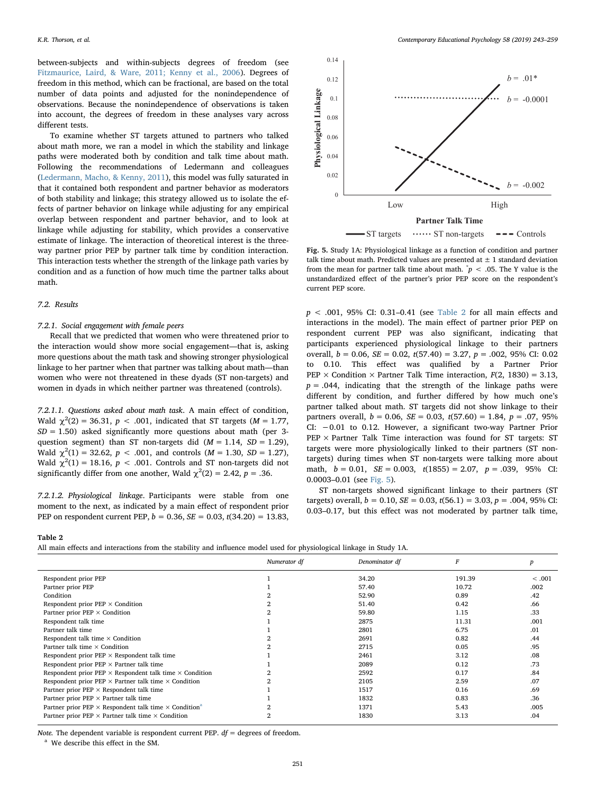between-subjects and within-subjects degrees of freedom (see [Fitzmaurice, Laird, & Ware, 2011; Kenny et al., 2006](#page-15-38)). Degrees of freedom in this method, which can be fractional, are based on the total number of data points and adjusted for the nonindependence of observations. Because the nonindependence of observations is taken into account, the degrees of freedom in these analyses vary across different tests.

To examine whether ST targets attuned to partners who talked about math more, we ran a model in which the stability and linkage paths were moderated both by condition and talk time about math. Following the recommendations of Ledermann and colleagues ([Ledermann, Macho, & Kenny, 2011\)](#page-15-39), this model was fully saturated in that it contained both respondent and partner behavior as moderators of both stability and linkage; this strategy allowed us to isolate the effects of partner behavior on linkage while adjusting for any empirical overlap between respondent and partner behavior, and to look at linkage while adjusting for stability, which provides a conservative estimate of linkage. The interaction of theoretical interest is the threeway partner prior PEP by partner talk time by condition interaction. This interaction tests whether the strength of the linkage path varies by condition and as a function of how much time the partner talks about math.

## 7.2. Results

# 7.2.1. Social engagement with female peers

Recall that we predicted that women who were threatened prior to the interaction would show more social engagement—that is, asking more questions about the math task and showing stronger physiological linkage to her partner when that partner was talking about math—than women who were not threatened in these dyads (ST non-targets) and women in dyads in which neither partner was threatened (controls).

7.2.1.1. Questions asked about math task. A main effect of condition, Wald  $\chi^2(2) = 36.31$ ,  $p < .001$ , indicated that ST targets (*M* = 1.77,  $SD = 1.50$ ) asked significantly more questions about math (per 3question segment) than ST non-targets did  $(M = 1.14, SD = 1.29)$ , Wald  $\chi^2(1) = 32.62$ ,  $p < .001$ , and controls  $(M = 1.30, SD = 1.27)$ , Wald  $\chi^2(1) = 18.16$ ,  $p < .001$ . Controls and ST non-targets did not significantly differ from one another, Wald  $\chi^2(2) = 2.42$ ,  $p = .36$ .

7.2.1.2. Physiological linkage. Participants were stable from one moment to the next, as indicated by a main effect of respondent prior PEP on respondent current PEP,  $b = 0.36$ ,  $SE = 0.03$ ,  $t(34.20) = 13.83$ ,

<span id="page-8-1"></span>

Fig. 5. Study 1A: Physiological linkage as a function of condition and partner talk time about math. Predicted values are presented at  $\pm$  1 standard deviation from the mean for partner talk time about math.  $\dot{p}$  < .05. The Y value is the unstandardized effect of the partner's prior PEP score on the respondent's current PEP score.

 $p < .001$ , 95% CI: 0.31-0.41 (see [Table 2](#page-8-0) for all main effects and interactions in the model). The main effect of partner prior PEP on respondent current PEP was also significant, indicating that participants experienced physiological linkage to their partners overall,  $b = 0.06$ ,  $SE = 0.02$ ,  $t(57.40) = 3.27$ ,  $p = .002$ , 95% CI: 0.02 to 0.10. This effect was qualified by a Partner Prior PEP  $\times$  Condition  $\times$  Partner Talk Time interaction,  $F(2, 1830) = 3.13$ ,  $p = .044$ , indicating that the strength of the linkage paths were different by condition, and further differed by how much one's partner talked about math. ST targets did not show linkage to their partners overall,  $b = 0.06$ ,  $SE = 0.03$ ,  $t(57.60) = 1.84$ ,  $p = .07$ , 95% CI: −0.01 to 0.12. However, a significant two-way Partner Prior  $PEP \times$  Partner Talk Time interaction was found for ST targets: ST targets were more physiologically linked to their partners (ST nontargets) during times when ST non-targets were talking more about math,  $b = 0.01$ ,  $SE = 0.003$ ,  $t(1855) = 2.07$ ,  $p = .039$ , 95% CI: 0.0003–0.01 (see [Fig. 5\)](#page-8-1).

ST non-targets showed significant linkage to their partners (ST targets) overall,  $b = 0.10$ ,  $SE = 0.03$ ,  $t(56.1) = 3.03$ ,  $p = .004$ , 95% CI: 0.03–0.17, but this effect was not moderated by partner talk time,

<span id="page-8-0"></span>Table 2

| All main effects and interactions from the stability and influence model used for physiological linkage in Study 1A. |  |
|----------------------------------------------------------------------------------------------------------------------|--|
|----------------------------------------------------------------------------------------------------------------------|--|

| Numerator df | Denominator df | $\boldsymbol{F}$ | p       |
|--------------|----------------|------------------|---------|
|              | 34.20          | 191.39           | < 0.001 |
|              | 57.40          | 10.72            | .002    |
|              | 52.90          | 0.89             | .42     |
|              | 51.40          | 0.42             | .66     |
|              | 59.80          | 1.15             | .33     |
|              | 2875           | 11.31            | .001    |
|              | 2801           | 6.75             | .01     |
|              | 2691           | 0.82             | .44     |
|              | 2715           | 0.05             | .95     |
|              | 2461           | 3.12             | .08     |
|              | 2089           | 0.12             | .73     |
|              | 2592           | 0.17             | .84     |
|              | 2105           | 2.59             | .07     |
|              | 1517           | 0.16             | .69     |
|              | 1832           | 0.83             | .36     |
|              | 1371           | 5.43             | .005    |
|              | 1830           | 3.13             | .04     |
|              |                |                  |         |

Note. The dependent variable is respondent current PEP.  $df =$  degrees of freedom.

<span id="page-8-2"></span><sup>a</sup> We describe this effect in the SM.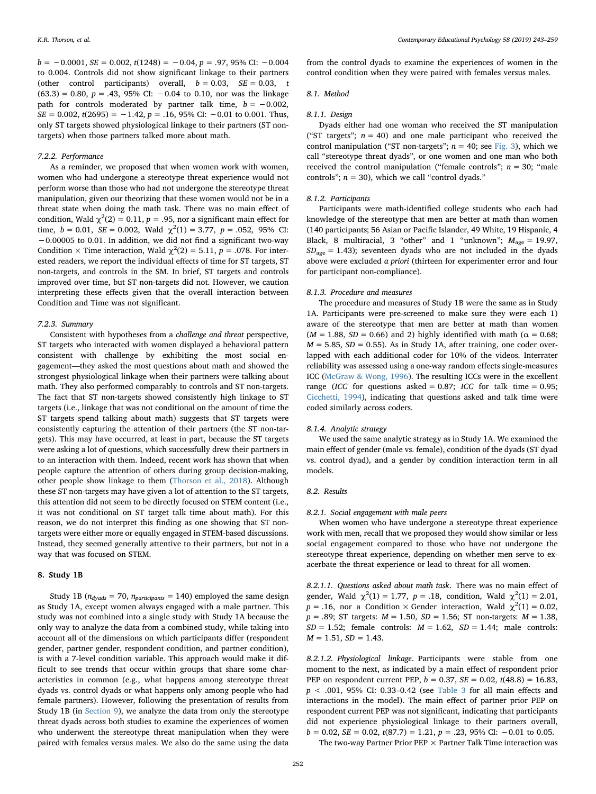$b = -0.0001$ ,  $SE = 0.002$ ,  $t(1248) = -0.04$ ,  $p = .97$ , 95% CI:  $-0.004$ to 0.004. Controls did not show significant linkage to their partners (other control participants) overall,  $b = 0.03$ ,  $SE = 0.03$ , t  $(63.3) = 0.80$ ,  $p = .43$ , 95% CI:  $-0.04$  to 0.10, nor was the linkage path for controls moderated by partner talk time,  $b = -0.002$ ,  $SE = 0.002$ ,  $t(2695) = -1.42$ ,  $p = .16$ , 95% CI:  $-0.01$  to 0.001. Thus, only ST targets showed physiological linkage to their partners (ST nontargets) when those partners talked more about math.

# 7.2.2. Performance

As a reminder, we proposed that when women work with women, women who had undergone a stereotype threat experience would not perform worse than those who had not undergone the stereotype threat manipulation, given our theorizing that these women would not be in a threat state when doing the math task. There was no main effect of condition, Wald  $\chi^2(2) = 0.11$ ,  $p = .95$ , nor a significant main effect for time,  $b = 0.01$ ,  $SE = 0.002$ , Wald  $\chi^2(1) = 3.77$ ,  $p = .052$ , 95% CI: −0.00005 to 0.01. In addition, we did not find a significant two-way Condition  $\times$  Time interaction, Wald  $\chi^2(2) = 5.11$ ,  $p = .078$ . For interested readers, we report the individual effects of time for ST targets, ST non-targets, and controls in the SM. In brief, ST targets and controls improved over time, but ST non-targets did not. However, we caution interpreting these effects given that the overall interaction between Condition and Time was not significant.

#### 7.2.3. Summary

Consistent with hypotheses from a challenge and threat perspective, ST targets who interacted with women displayed a behavioral pattern consistent with challenge by exhibiting the most social engagement—they asked the most questions about math and showed the strongest physiological linkage when their partners were talking about math. They also performed comparably to controls and ST non-targets. The fact that ST non-targets showed consistently high linkage to ST targets (i.e., linkage that was not conditional on the amount of time the ST targets spend talking about math) suggests that ST targets were consistently capturing the attention of their partners (the ST non-targets). This may have occurred, at least in part, because the ST targets were asking a lot of questions, which successfully drew their partners in to an interaction with them. Indeed, recent work has shown that when people capture the attention of others during group decision-making, other people show linkage to them ([Thorson et al., 2018](#page-16-13)). Although these ST non-targets may have given a lot of attention to the ST targets, this attention did not seem to be directly focused on STEM content (i.e., it was not conditional on ST target talk time about math). For this reason, we do not interpret this finding as one showing that ST nontargets were either more or equally engaged in STEM-based discussions. Instead, they seemed generally attentive to their partners, but not in a way that was focused on STEM.

## 8. Study 1B

Study 1B ( $n_{dyads} = 70$ ,  $n_{participants} = 140$ ) employed the same design as Study 1A, except women always engaged with a male partner. This study was not combined into a single study with Study 1A because the only way to analyze the data from a combined study, while taking into account all of the dimensions on which participants differ (respondent gender, partner gender, respondent condition, and partner condition), is with a 7-level condition variable. This approach would make it difficult to see trends that occur within groups that share some characteristics in common (e.g., what happens among stereotype threat dyads vs. control dyads or what happens only among people who had female partners). However, following the presentation of results from Study 1B (in [Section 9](#page-11-0)), we analyze the data from only the stereotype threat dyads across both studies to examine the experiences of women who underwent the stereotype threat manipulation when they were paired with females versus males. We also do the same using the data

from the control dyads to examine the experiences of women in the control condition when they were paired with females versus males.

# 8.1. Method

#### 8.1.1. Design

Dyads either had one woman who received the ST manipulation ("ST targets";  $n = 40$ ) and one male participant who received the control manipulation ("ST non-targets";  $n = 40$ ; see [Fig. 3](#page-6-1)), which we call "stereotype threat dyads", or one women and one man who both received the control manipulation ("female controls":  $n = 30$ : "male controls";  $n = 30$ ), which we call "control dyads."

## 8.1.2. Participants

Participants were math-identified college students who each had knowledge of the stereotype that men are better at math than women (140 participants; 56 Asian or Pacific Islander, 49 White, 19 Hispanic, 4 Black, 8 multiracial, 3 "other" and 1 "unknown";  $M_{\text{age}} = 19.97$ ,  $SD<sub>age</sub> = 1.43$ ; seventeen dyads who are not included in the dyads above were excluded a priori (thirteen for experimenter error and four for participant non-compliance).

## 8.1.3. Procedure and measures

The procedure and measures of Study 1B were the same as in Study 1A. Participants were pre-screened to make sure they were each 1) aware of the stereotype that men are better at math than women ( $M = 1.88$ ,  $SD = 0.66$ ) and 2) highly identified with math ( $\alpha = 0.68$ ;  $M = 5.85$ ,  $SD = 0.55$ ). As in Study 1A, after training, one coder overlapped with each additional coder for 10% of the videos. Interrater reliability was assessed using a one-way random effects single-measures ICC ([McGraw & Wong, 1996](#page-15-34)). The resulting ICCs were in the excellent range (ICC for questions asked =  $0.87$ ; ICC for talk time =  $0.95$ ; [Cicchetti, 1994\)](#page-15-35), indicating that questions asked and talk time were coded similarly across coders.

## 8.1.4. Analytic strategy

We used the same analytic strategy as in Study 1A. We examined the main effect of gender (male vs. female), condition of the dyads (ST dyad vs. control dyad), and a gender by condition interaction term in all models.

#### 8.2. Results

#### 8.2.1. Social engagement with male peers

When women who have undergone a stereotype threat experience work with men, recall that we proposed they would show similar or less social engagement compared to those who have not undergone the stereotype threat experience, depending on whether men serve to exacerbate the threat experience or lead to threat for all women.

8.2.1.1. Questions asked about math task. There was no main effect of gender, Wald  $\chi^2(1) = 1.77$ ,  $p = .18$ , condition, Wald  $\chi^2(1) = 2.01$ ,  $p = .16$ , nor a Condition  $\times$  Gender interaction, Wald  $\chi^2(1) = 0.02$ ,  $p = .89$ ; ST targets:  $M = 1.50$ ,  $SD = 1.56$ ; ST non-targets:  $M = 1.38$ ,  $SD = 1.52$ ; female controls:  $M = 1.62$ ,  $SD = 1.44$ ; male controls:  $M = 1.51, SD = 1.43.$ 

8.2.1.2. Physiological linkage. Participants were stable from one moment to the next, as indicated by a main effect of respondent prior PEP on respondent current PEP,  $b = 0.37$ ,  $SE = 0.02$ ,  $t(48.8) = 16.83$ ,  $p < .001$ , 95% CI: 0.33-0.42 (see [Table 3](#page-10-0) for all main effects and interactions in the model). The main effect of partner prior PEP on respondent current PEP was not significant, indicating that participants did not experience physiological linkage to their partners overall,  $b = 0.02$ ,  $SE = 0.02$ ,  $t(87.7) = 1.21$ ,  $p = .23$ , 95% CI: -0.01 to 0.05.

The two-way Partner Prior PEP  $\times$  Partner Talk Time interaction was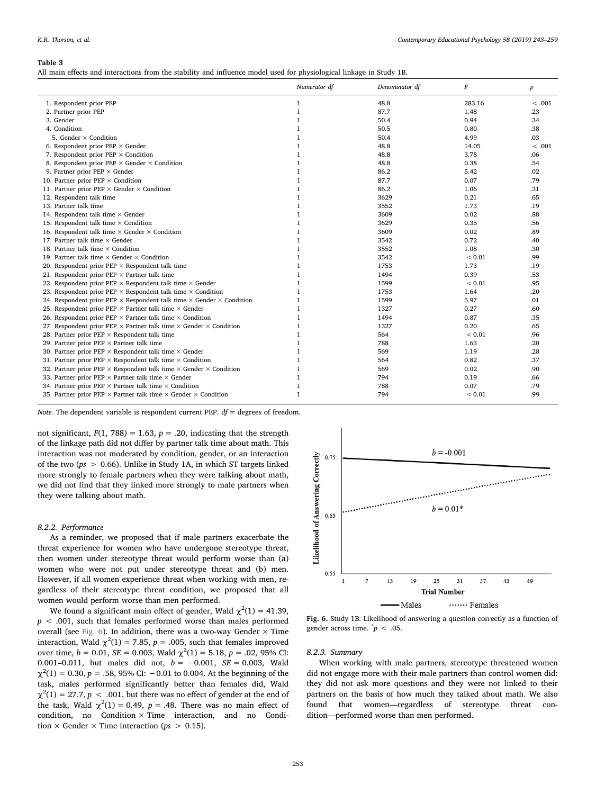#### <span id="page-10-0"></span>Table 3

All main effects and interactions from the stability and influence model used for physiological linkage in Study 1B.

|                                                                                           | Numerator df | Denominator df | $\boldsymbol{F}$ | $\boldsymbol{p}$ |
|-------------------------------------------------------------------------------------------|--------------|----------------|------------------|------------------|
| 1. Respondent prior PEP                                                                   | 1            | 48.8           | 283.16           | < .001           |
| 2. Partner prior PEP                                                                      | 1            | 87.7           | 1.48             | .23              |
| 3. Gender                                                                                 |              | 50.4           | 0.94             | .34              |
| 4. Condition                                                                              |              | 50.5           | 0.80             | .38              |
| 5. Gender $\times$ Condition                                                              |              | 50.4           | 4.99             | .03              |
| 6. Respondent prior $PEP \times$ Gender                                                   |              | 48.8           | 14.05            | < 0.001          |
| 7. Respondent prior $PEP \times$ Condition                                                |              | 48.8           | 3.78             | .06              |
| 8. Respondent prior PEP $\times$ Gender $\times$ Condition                                |              | 48.8           | 0.38             | .54              |
| 9. Partner prior PEP $\times$ Gender                                                      |              | 86.2           | 5.42             | .02              |
| 10. Partner prior PEP $\times$ Condition                                                  |              | 87.7           | 0.07             | .79              |
| 11. Partner prior PEP $\times$ Gender $\times$ Condition                                  |              | 86.2           | 1.06             | .31              |
| 12. Respondent talk time                                                                  |              | 3629           | 0.21             | .65              |
| 13. Partner talk time                                                                     |              | 3552           | 1.73             | .19              |
| 14. Respondent talk time $\times$ Gender                                                  |              | 3609           | 0.02             | .88              |
| 15. Respondent talk time $\times$ Condition                                               |              | 3629           | 0.35             | .56              |
| 16. Respondent talk time $\times$ Gender $\times$ Condition                               |              | 3609           | 0.02             | .89              |
| 17. Partner talk time $\times$ Gender                                                     |              | 3542           | 0.72             | .40              |
| 18. Partner talk time $\times$ Condition                                                  |              | 3552           | 1.08             | .30              |
| 19. Partner talk time $\times$ Gender $\times$ Condition                                  |              | 3542           | ${}< 0.01$       | .99              |
| 20. Respondent prior PEP $\times$ Respondent talk time                                    |              | 1753           | 1.73             | .19              |
| 21. Respondent prior PEP $\times$ Partner talk time                                       |              | 1494           | 0.39             | .53              |
| 22. Respondent prior PEP $\times$ Respondent talk time $\times$ Gender                    |              | 1599           | ${}< 0.01$       | .95              |
| 23. Respondent prior PEP $\times$ Respondent talk time $\times$ Condition                 |              | 1753           | 1.64             | .20              |
| 24. Respondent prior PEP $\times$ Respondent talk time $\times$ Gender $\times$ Condition |              | 1599           | 5.97             | .01              |
| 25. Respondent prior PEP $\times$ Partner talk time $\times$ Gender                       |              | 1327           | 0.27             | .60              |
| 26. Respondent prior PEP $\times$ Partner talk time $\times$ Condition                    |              | 1494           | 0.87             | .35              |
| 27. Respondent prior PEP $\times$ Partner talk time $\times$ Gender $\times$ Condition    |              | 1327           | 0.20             | .65              |
| 28. Partner prior PEP $\times$ Respondent talk time                                       |              | 564            | ${}< 0.01$       | .96              |
| 29. Partner prior PEP $\times$ Partner talk time                                          |              | 788            | 1.63             | .20              |
| 30. Partner prior PEP $\times$ Respondent talk time $\times$ Gender                       | 1            | 569            | 1.19             | .28              |
| 31. Partner prior PEP $\times$ Respondent talk time $\times$ Condition                    | 1            | 564            | 0.82             | .37              |
| 32. Partner prior PEP $\times$ Respondent talk time $\times$ Gender $\times$ Condition    | 1            | 569            | 0.02             | .90              |
| 33. Partner prior PEP $\times$ Partner talk time $\times$ Gender                          | 1            | 794            | 0.19             | .66              |
| 34. Partner prior PEP $\times$ Partner talk time $\times$ Condition                       | 1            | 788            | 0.07             | .79              |
| 35. Partner prior PEP $\times$ Partner talk time $\times$ Gender $\times$ Condition       | 1            | 794            | ${}< 0.01$       | .99              |

Note. The dependent variable is respondent current PEP.  $df =$  degrees of freedom.

not significant,  $F(1, 788) = 1.63$ ,  $p = .20$ , indicating that the strength of the linkage path did not differ by partner talk time about math. This interaction was not moderated by condition, gender, or an interaction of the two ( $ps > 0.66$ ). Unlike in Study 1A, in which ST targets linked more strongly to female partners when they were talking about math, we did not find that they linked more strongly to male partners when they were talking about math.

# 8.2.2. Performance

As a reminder, we proposed that if male partners exacerbate the threat experience for women who have undergone stereotype threat, then women under stereotype threat would perform worse than (a) women who were not put under stereotype threat and (b) men. However, if all women experience threat when working with men, regardless of their stereotype threat condition, we proposed that all women would perform worse than men performed.

We found a significant main effect of gender, Wald  $\chi^2(1) = 41.39$ ,  $p < .001$ , such that females performed worse than males performed overall (see [Fig. 6\)](#page-10-1). In addition, there was a two-way Gender  $\times$  Time interaction, Wald  $\chi^2(1) = 7.85$ ,  $p = .005$ , such that females improved over time,  $b = 0.01$ ,  $SE = 0.003$ , Wald  $\chi^2(1) = 5.18$ ,  $p = .02$ , 95% CI: 0.001–0.011, but males did not,  $b = -0.001$ ,  $SE = 0.003$ , Wald  $\chi^2(1) = 0.30, p = .58,95\%$  CI:  $-0.01$  to 0.004. At the beginning of the task, males performed significantly better than females did, Wald  $\chi^2(1) = 27.7, p < .001$ , but there was no effect of gender at the end of the task, Wald  $\chi^2(1) = 0.49$ ,  $p = .48$ . There was no main effect of condition, no Condition × Time interaction, and no Condition  $\times$  Gender  $\times$  Time interaction (ps  $> 0.15$ ).

<span id="page-10-1"></span>

Fig. 6. Study 1B: Likelihood of answering a question correctly as a function of gender across time.  $\dot{p}$  < .05.

#### 8.2.3. Summary

When working with male partners, stereotype threatened women did not engage more with their male partners than control women did: they did not ask more questions and they were not linked to their partners on the basis of how much they talked about math. We also found that women—regardless of stereotype threat condition—performed worse than men performed.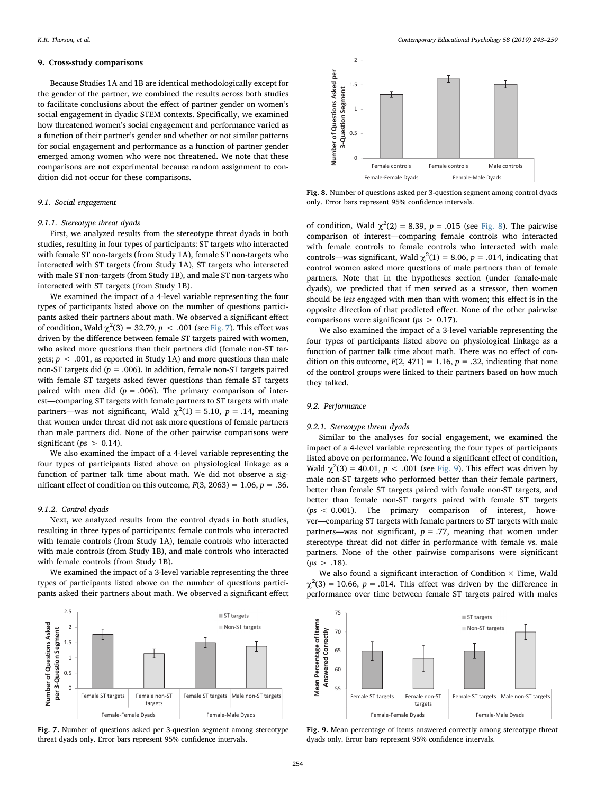#### <span id="page-11-0"></span>9. Cross-study comparisons

Because Studies 1A and 1B are identical methodologically except for the gender of the partner, we combined the results across both studies to facilitate conclusions about the effect of partner gender on women's social engagement in dyadic STEM contexts. Specifically, we examined how threatened women's social engagement and performance varied as a function of their partner's gender and whether or not similar patterns for social engagement and performance as a function of partner gender emerged among women who were not threatened. We note that these comparisons are not experimental because random assignment to condition did not occur for these comparisons.

## 9.1. Social engagement

# 9.1.1. Stereotype threat dyads

First, we analyzed results from the stereotype threat dyads in both studies, resulting in four types of participants: ST targets who interacted with female ST non-targets (from Study 1A), female ST non-targets who interacted with ST targets (from Study 1A), ST targets who interacted with male ST non-targets (from Study 1B), and male ST non-targets who interacted with ST targets (from Study 1B).

We examined the impact of a 4-level variable representing the four types of participants listed above on the number of questions participants asked their partners about math. We observed a significant effect of condition, Wald  $\chi^2(3) = 32.79, p < .001$  (see [Fig. 7\)](#page-11-1). This effect was driven by the difference between female ST targets paired with women, who asked more questions than their partners did (female non-ST targets;  $p < .001$ , as reported in Study 1A) and more questions than male non-ST targets did ( $p = .006$ ). In addition, female non-ST targets paired with female ST targets asked fewer questions than female ST targets paired with men did ( $p = .006$ ). The primary comparison of interest—comparing ST targets with female partners to ST targets with male partners—was not significant, Wald  $\chi^2(1) = 5.10$ ,  $p = .14$ , meaning that women under threat did not ask more questions of female partners than male partners did. None of the other pairwise comparisons were significant ( $ps > 0.14$ ).

We also examined the impact of a 4-level variable representing the four types of participants listed above on physiological linkage as a function of partner talk time about math. We did not observe a significant effect of condition on this outcome,  $F(3, 2063) = 1.06$ ,  $p = .36$ .

#### 9.1.2. Control dyads

Next, we analyzed results from the control dyads in both studies, resulting in three types of participants: female controls who interacted with female controls (from Study 1A), female controls who interacted with male controls (from Study 1B), and male controls who interacted with female controls (from Study 1B).

We examined the impact of a 3-level variable representing the three types of participants listed above on the number of questions participants asked their partners about math. We observed a significant effect

<span id="page-11-1"></span>



<span id="page-11-2"></span>

Fig. 8. Number of questions asked per 3-question segment among control dyads only. Error bars represent 95% confidence intervals.

of condition, Wald  $\chi^2(2) = 8.39$ ,  $p = .015$  (see [Fig. 8](#page-11-2)). The pairwise comparison of interest—comparing female controls who interacted with female controls to female controls who interacted with male controls—was significant, Wald  $\chi^2(1) = 8.06$ ,  $p = .014$ , indicating that control women asked more questions of male partners than of female partners. Note that in the hypotheses section (under female-male dyads), we predicted that if men served as a stressor, then women should be less engaged with men than with women; this effect is in the opposite direction of that predicted effect. None of the other pairwise comparisons were significant ( $ps > 0.17$ ).

We also examined the impact of a 3-level variable representing the four types of participants listed above on physiological linkage as a function of partner talk time about math. There was no effect of condition on this outcome,  $F(2, 471) = 1.16$ ,  $p = .32$ , indicating that none of the control groups were linked to their partners based on how much they talked.

#### 9.2. Performance

## 9.2.1. Stereotype threat dyads

Similar to the analyses for social engagement, we examined the impact of a 4-level variable representing the four types of participants listed above on performance. We found a significant effect of condition, Wald  $\chi^2(3) = 40.01$ ,  $p < .001$  (see [Fig. 9](#page-11-3)). This effect was driven by male non-ST targets who performed better than their female partners, better than female ST targets paired with female non-ST targets, and better than female non-ST targets paired with female ST targets  $(ps < 0.001)$ . The primary comparison of interest, however—comparing ST targets with female partners to ST targets with male partners—was not significant,  $p = .77$ , meaning that women under stereotype threat did not differ in performance with female vs. male partners. None of the other pairwise comparisons were significant  $(ps > .18).$ 

We also found a significant interaction of Condition  $\times$  Time, Wald  $\chi^2(3) = 10.66$ ,  $p = .014$ . This effect was driven by the difference in performance over time between female ST targets paired with males

<span id="page-11-3"></span>

Fig. 9. Mean percentage of items answered correctly among stereotype threat dyads only. Error bars represent 95% confidence intervals.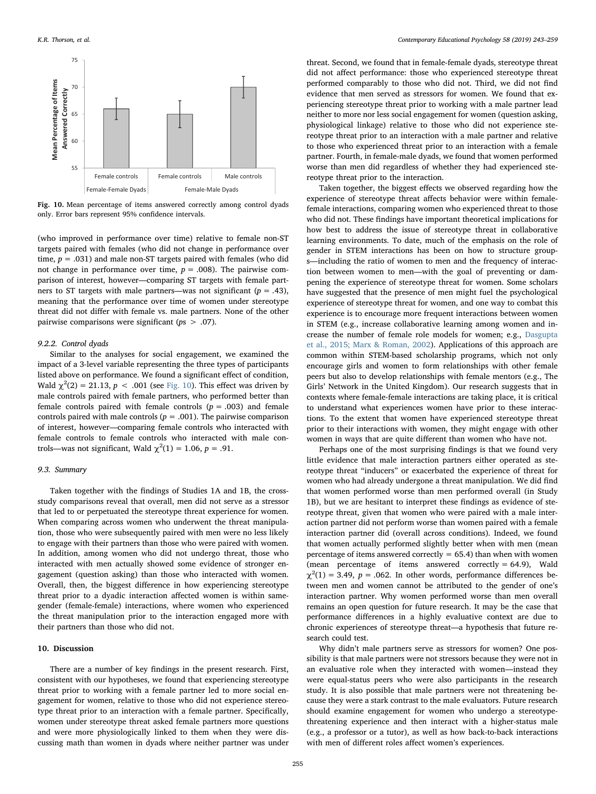<span id="page-12-0"></span>

Fig. 10. Mean percentage of items answered correctly among control dyads only. Error bars represent 95% confidence intervals.

(who improved in performance over time) relative to female non-ST targets paired with females (who did not change in performance over time,  $p = .031$ ) and male non-ST targets paired with females (who did not change in performance over time,  $p = .008$ ). The pairwise comparison of interest, however—comparing ST targets with female partners to ST targets with male partners—was not significant ( $p = .43$ ), meaning that the performance over time of women under stereotype threat did not differ with female vs. male partners. None of the other pairwise comparisons were significant ( $ps > .07$ ).

## 9.2.2. Control dyads

Similar to the analyses for social engagement, we examined the impact of a 3-level variable representing the three types of participants listed above on performance. We found a significant effect of condition, Wald  $\chi^2(2) = 21.13$ ,  $p < .001$  (see [Fig. 10](#page-12-0)). This effect was driven by male controls paired with female partners, who performed better than female controls paired with female controls  $(p = .003)$  and female controls paired with male controls ( $p = .001$ ). The pairwise comparison of interest, however—comparing female controls who interacted with female controls to female controls who interacted with male controls—was not significant, Wald  $\chi^2(1) = 1.06$ ,  $p = .91$ .

### 9.3. Summary

Taken together with the findings of Studies 1A and 1B, the crossstudy comparisons reveal that overall, men did not serve as a stressor that led to or perpetuated the stereotype threat experience for women. When comparing across women who underwent the threat manipulation, those who were subsequently paired with men were no less likely to engage with their partners than those who were paired with women. In addition, among women who did not undergo threat, those who interacted with men actually showed some evidence of stronger engagement (question asking) than those who interacted with women. Overall, then, the biggest difference in how experiencing stereotype threat prior to a dyadic interaction affected women is within samegender (female-female) interactions, where women who experienced the threat manipulation prior to the interaction engaged more with their partners than those who did not.

# 10. Discussion

There are a number of key findings in the present research. First, consistent with our hypotheses, we found that experiencing stereotype threat prior to working with a female partner led to more social engagement for women, relative to those who did not experience stereotype threat prior to an interaction with a female partner. Specifically, women under stereotype threat asked female partners more questions and were more physiologically linked to them when they were discussing math than women in dyads where neither partner was under

threat. Second, we found that in female-female dyads, stereotype threat did not affect performance: those who experienced stereotype threat performed comparably to those who did not. Third, we did not find evidence that men served as stressors for women. We found that experiencing stereotype threat prior to working with a male partner lead neither to more nor less social engagement for women (question asking, physiological linkage) relative to those who did not experience stereotype threat prior to an interaction with a male partner and relative to those who experienced threat prior to an interaction with a female partner. Fourth, in female-male dyads, we found that women performed worse than men did regardless of whether they had experienced stereotype threat prior to the interaction.

Taken together, the biggest effects we observed regarding how the experience of stereotype threat affects behavior were within femalefemale interactions, comparing women who experienced threat to those who did not. These findings have important theoretical implications for how best to address the issue of stereotype threat in collaborative learning environments. To date, much of the emphasis on the role of gender in STEM interactions has been on how to structure groups—including the ratio of women to men and the frequency of interaction between women to men—with the goal of preventing or dampening the experience of stereotype threat for women. Some scholars have suggested that the presence of men might fuel the psychological experience of stereotype threat for women, and one way to combat this experience is to encourage more frequent interactions between women in STEM (e.g., increase collaborative learning among women and increase the number of female role models for women; e.g., [Dasgupta](#page-15-5) [et al., 2015; Marx & Roman, 2002](#page-15-5)). Applications of this approach are common within STEM-based scholarship programs, which not only encourage girls and women to form relationships with other female peers but also to develop relationships with female mentors (e.g., The Girls' Network in the United Kingdom). Our research suggests that in contexts where female-female interactions are taking place, it is critical to understand what experiences women have prior to these interactions. To the extent that women have experienced stereotype threat prior to their interactions with women, they might engage with other women in ways that are quite different than women who have not.

Perhaps one of the most surprising findings is that we found very little evidence that male interaction partners either operated as stereotype threat "inducers" or exacerbated the experience of threat for women who had already undergone a threat manipulation. We did find that women performed worse than men performed overall (in Study 1B), but we are hesitant to interpret these findings as evidence of stereotype threat, given that women who were paired with a male interaction partner did not perform worse than women paired with a female interaction partner did (overall across conditions). Indeed, we found that women actually performed slightly better when with men (mean percentage of items answered correctly  $= 65.4$ ) than when with women (mean percentage of items answered correctly = 64.9), Wald  $\chi^2(1) = 3.49$ ,  $p = .062$ . In other words, performance differences between men and women cannot be attributed to the gender of one's interaction partner. Why women performed worse than men overall remains an open question for future research. It may be the case that performance differences in a highly evaluative context are due to chronic experiences of stereotype threat—a hypothesis that future research could test.

Why didn't male partners serve as stressors for women? One possibility is that male partners were not stressors because they were not in an evaluative role when they interacted with women—instead they were equal-status peers who were also participants in the research study. It is also possible that male partners were not threatening because they were a stark contrast to the male evaluators. Future research should examine engagement for women who undergo a stereotypethreatening experience and then interact with a higher-status male (e.g., a professor or a tutor), as well as how back-to-back interactions with men of different roles affect women's experiences.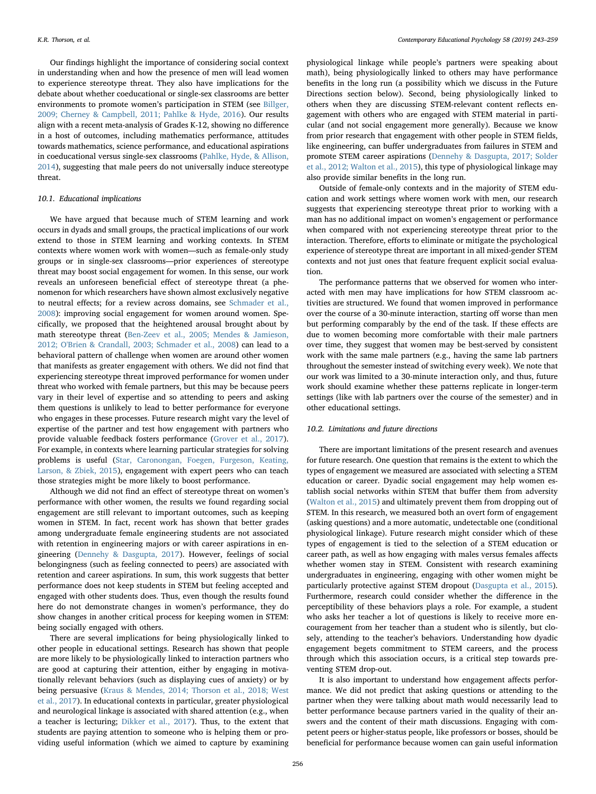Our findings highlight the importance of considering social context in understanding when and how the presence of men will lead women to experience stereotype threat. They also have implications for the debate about whether coeducational or single-sex classrooms are better environments to promote women's participation in STEM (see [Billger,](#page-14-7) [2009; Cherney & Campbell, 2011; Pahlke & Hyde, 2016\)](#page-14-7). Our results align with a recent meta-analysis of Grades K-12, showing no difference in a host of outcomes, including mathematics performance, attitudes towards mathematics, science performance, and educational aspirations in coeducational versus single-sex classrooms ([Pahlke, Hyde, & Allison,](#page-16-21) [2014\)](#page-16-21), suggesting that male peers do not universally induce stereotype threat.

# 10.1. Educational implications

We have argued that because much of STEM learning and work occurs in dyads and small groups, the practical implications of our work extend to those in STEM learning and working contexts. In STEM contexts where women work with women—such as female-only study groups or in single-sex classrooms—prior experiences of stereotype threat may boost social engagement for women. In this sense, our work reveals an unforeseen beneficial effect of stereotype threat (a phenomenon for which researchers have shown almost exclusively negative to neutral effects; for a review across domains, see [Schmader et al.,](#page-16-4) [2008\)](#page-16-4): improving social engagement for women around women. Specifically, we proposed that the heightened arousal brought about by math stereotype threat ([Ben-Zeev et al., 2005; Mendes & Jamieson,](#page-14-2) [2012; O'Brien & Crandall, 2003; Schmader et al., 2008\)](#page-14-2) can lead to a behavioral pattern of challenge when women are around other women that manifests as greater engagement with others. We did not find that experiencing stereotype threat improved performance for women under threat who worked with female partners, but this may be because peers vary in their level of expertise and so attending to peers and asking them questions is unlikely to lead to better performance for everyone who engages in these processes. Future research might vary the level of expertise of the partner and test how engagement with partners who provide valuable feedback fosters performance ([Grover et al., 2017](#page-15-7)). For example, in contexts where learning particular strategies for solving problems is useful ([Star, Caronongan, Foegen, Furgeson, Keating,](#page-16-22) [Larson, & Zbiek, 2015](#page-16-22)), engagement with expert peers who can teach those strategies might be more likely to boost performance.

Although we did not find an effect of stereotype threat on women's performance with other women, the results we found regarding social engagement are still relevant to important outcomes, such as keeping women in STEM. In fact, recent work has shown that better grades among undergraduate female engineering students are not associated with retention in engineering majors or with career aspirations in engineering ([Dennehy & Dasgupta, 2017](#page-15-6)). However, feelings of social belongingness (such as feeling connected to peers) are associated with retention and career aspirations. In sum, this work suggests that better performance does not keep students in STEM but feeling accepted and engaged with other students does. Thus, even though the results found here do not demonstrate changes in women's performance, they do show changes in another critical process for keeping women in STEM: being socially engaged with others.

There are several implications for being physiologically linked to other people in educational settings. Research has shown that people are more likely to be physiologically linked to interaction partners who are good at capturing their attention, either by engaging in motivationally relevant behaviors (such as displaying cues of anxiety) or by being persuasive ([Kraus & Mendes, 2014; Thorson et al., 2018; West](#page-15-4) [et al., 2017\)](#page-15-4). In educational contexts in particular, greater physiological and neurological linkage is associated with shared attention (e.g., when a teacher is lecturing; [Dikker et al., 2017\)](#page-15-40). Thus, to the extent that students are paying attention to someone who is helping them or providing useful information (which we aimed to capture by examining

physiological linkage while people's partners were speaking about math), being physiologically linked to others may have performance benefits in the long run (a possibility which we discuss in the Future Directions section below). Second, being physiologically linked to others when they are discussing STEM-relevant content reflects engagement with others who are engaged with STEM material in particular (and not social engagement more generally). Because we know from prior research that engagement with other people in STEM fields, like engineering, can buffer undergraduates from failures in STEM and promote STEM career aspirations ([Dennehy & Dasgupta, 2017; Solder](#page-15-6) [et al., 2012; Walton et al., 2015\)](#page-15-6), this type of physiological linkage may also provide similar benefits in the long run.

Outside of female-only contexts and in the majority of STEM education and work settings where women work with men, our research suggests that experiencing stereotype threat prior to working with a man has no additional impact on women's engagement or performance when compared with not experiencing stereotype threat prior to the interaction. Therefore, efforts to eliminate or mitigate the psychological experience of stereotype threat are important in all mixed-gender STEM contexts and not just ones that feature frequent explicit social evaluation.

The performance patterns that we observed for women who interacted with men may have implications for how STEM classroom activities are structured. We found that women improved in performance over the course of a 30-minute interaction, starting off worse than men but performing comparably by the end of the task. If these effects are due to women becoming more comfortable with their male partners over time, they suggest that women may be best-served by consistent work with the same male partners (e.g., having the same lab partners throughout the semester instead of switching every week). We note that our work was limited to a 30-minute interaction only, and thus, future work should examine whether these patterns replicate in longer-term settings (like with lab partners over the course of the semester) and in other educational settings.

# 10.2. Limitations and future directions

There are important limitations of the present research and avenues for future research. One question that remains is the extent to which the types of engagement we measured are associated with selecting a STEM education or career. Dyadic social engagement may help women establish social networks within STEM that buffer them from adversity ([Walton et al., 2015\)](#page-16-23) and ultimately prevent them from dropping out of STEM. In this research, we measured both an overt form of engagement (asking questions) and a more automatic, undetectable one (conditional physiological linkage). Future research might consider which of these types of engagement is tied to the selection of a STEM education or career path, as well as how engaging with males versus females affects whether women stay in STEM. Consistent with research examining undergraduates in engineering, engaging with other women might be particularly protective against STEM dropout [\(Dasgupta et al., 2015](#page-15-5)). Furthermore, research could consider whether the difference in the perceptibility of these behaviors plays a role. For example, a student who asks her teacher a lot of questions is likely to receive more encouragement from her teacher than a student who is silently, but closely, attending to the teacher's behaviors. Understanding how dyadic engagement begets commitment to STEM careers, and the process through which this association occurs, is a critical step towards preventing STEM drop-out.

It is also important to understand how engagement affects performance. We did not predict that asking questions or attending to the partner when they were talking about math would necessarily lead to better performance because partners varied in the quality of their answers and the content of their math discussions. Engaging with competent peers or higher-status people, like professors or bosses, should be beneficial for performance because women can gain useful information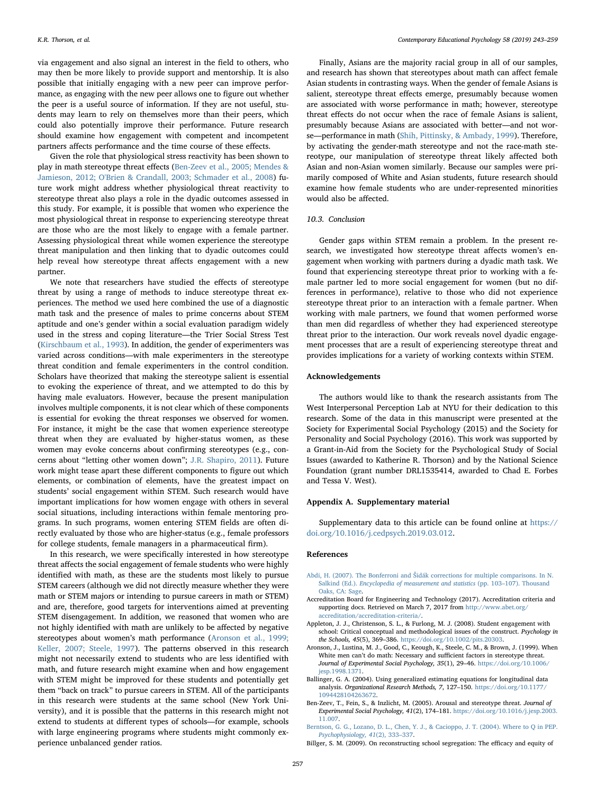via engagement and also signal an interest in the field to others, who may then be more likely to provide support and mentorship. It is also possible that initially engaging with a new peer can improve performance, as engaging with the new peer allows one to figure out whether the peer is a useful source of information. If they are not useful, students may learn to rely on themselves more than their peers, which could also potentially improve their performance. Future research should examine how engagement with competent and incompetent partners affects performance and the time course of these effects.

Given the role that physiological stress reactivity has been shown to play in math stereotype threat effects ([Ben-Zeev et al., 2005; Mendes &](#page-14-2) [Jamieson, 2012; O'Brien & Crandall, 2003; Schmader et al., 2008](#page-14-2)) future work might address whether physiological threat reactivity to stereotype threat also plays a role in the dyadic outcomes assessed in this study. For example, it is possible that women who experience the most physiological threat in response to experiencing stereotype threat are those who are the most likely to engage with a female partner. Assessing physiological threat while women experience the stereotype threat manipulation and then linking that to dyadic outcomes could help reveal how stereotype threat affects engagement with a new partner.

We note that researchers have studied the effects of stereotype threat by using a range of methods to induce stereotype threat experiences. The method we used here combined the use of a diagnostic math task and the presence of males to prime concerns about STEM aptitude and one's gender within a social evaluation paradigm widely used in the stress and coping literature—the Trier Social Stress Test ([Kirschbaum et al., 1993](#page-15-25)). In addition, the gender of experimenters was varied across conditions—with male experimenters in the stereotype threat condition and female experimenters in the control condition. Scholars have theorized that making the stereotype salient is essential to evoking the experience of threat, and we attempted to do this by having male evaluators. However, because the present manipulation involves multiple components, it is not clear which of these components is essential for evoking the threat responses we observed for women. For instance, it might be the case that women experience stereotype threat when they are evaluated by higher-status women, as these women may evoke concerns about confirming stereotypes (e.g., concerns about "letting other women down"; [J.R. Shapiro, 2011](#page-16-24)). Future work might tease apart these different components to figure out which elements, or combination of elements, have the greatest impact on students' social engagement within STEM. Such research would have important implications for how women engage with others in several social situations, including interactions within female mentoring programs. In such programs, women entering STEM fields are often directly evaluated by those who are higher-status (e.g., female professors for college students, female managers in a pharmaceutical firm).

In this research, we were specifically interested in how stereotype threat affects the social engagement of female students who were highly identified with math, as these are the students most likely to pursue STEM careers (although we did not directly measure whether they were math or STEM majors or intending to pursue careers in math or STEM) and are, therefore, good targets for interventions aimed at preventing STEM disengagement. In addition, we reasoned that women who are not highly identified with math are unlikely to be affected by negative stereotypes about women's math performance [\(Aronson et al., 1999;](#page-14-3) [Keller, 2007; Steele, 1997\)](#page-14-3). The patterns observed in this research might not necessarily extend to students who are less identified with math, and future research might examine when and how engagement with STEM might be improved for these students and potentially get them "back on track" to pursue careers in STEM. All of the participants in this research were students at the same school (New York University), and it is possible that the patterns in this research might not extend to students at different types of schools—for example, schools with large engineering programs where students might commonly experience unbalanced gender ratios.

Finally, Asians are the majority racial group in all of our samples, and research has shown that stereotypes about math can affect female Asian students in contrasting ways. When the gender of female Asians is salient, stereotype threat effects emerge, presumably because women are associated with worse performance in math; however, stereotype threat effects do not occur when the race of female Asians is salient, presumably because Asians are associated with better—and not worse—performance in math [\(Shih, Pittinsky, & Ambady, 1999](#page-16-25)). Therefore, by activating the gender-math stereotype and not the race-math stereotype, our manipulation of stereotype threat likely affected both Asian and non-Asian women similarly. Because our samples were primarily composed of White and Asian students, future research should examine how female students who are under-represented minorities would also be affected.

# 10.3. Conclusion

Gender gaps within STEM remain a problem. In the present research, we investigated how stereotype threat affects women's engagement when working with partners during a dyadic math task. We found that experiencing stereotype threat prior to working with a female partner led to more social engagement for women (but no differences in performance), relative to those who did not experience stereotype threat prior to an interaction with a female partner. When working with male partners, we found that women performed worse than men did regardless of whether they had experienced stereotype threat prior to the interaction. Our work reveals novel dyadic engagement processes that are a result of experiencing stereotype threat and provides implications for a variety of working contexts within STEM.

# Acknowledgements

The authors would like to thank the research assistants from The West Interpersonal Perception Lab at NYU for their dedication to this research. Some of the data in this manuscript were presented at the Society for Experimental Social Psychology (2015) and the Society for Personality and Social Psychology (2016). This work was supported by a Grant-in-Aid from the Society for the Psychological Study of Social Issues (awarded to Katherine R. Thorson) and by the National Science Foundation (grant number DRL1535414, awarded to Chad E. Forbes and Tessa V. West).

## Appendix A. Supplementary material

Supplementary data to this article can be found online at [https://](https://doi.org/10.1016/j.cedpsych.2019.03.012) [doi.org/10.1016/j.cedpsych.2019.03.012.](https://doi.org/10.1016/j.cedpsych.2019.03.012)

#### References

- <span id="page-14-4"></span>Abdi, H. (2007). The Bonferroni and Š[idák corrections for multiple comparisons. In N.](http://refhub.elsevier.com/S0361-476X(18)30201-7/h0005) Salkind (Ed.). [Encyclopedia of measurement and statistics](http://refhub.elsevier.com/S0361-476X(18)30201-7/h0005) (pp. 103–107). Thousand [Oaks, CA: Sage.](http://refhub.elsevier.com/S0361-476X(18)30201-7/h0005)
- <span id="page-14-0"></span>Accreditation Board for Engineering and Technology (2017). Accreditation criteria and supporting docs. Retrieved on March 7, 2017 from [http://www.abet.org/](http://www.abet.org/accreditation/accreditation-criteria/) [accreditation/accreditation-criteria/](http://www.abet.org/accreditation/accreditation-criteria/).
- <span id="page-14-1"></span>Appleton, J. J., Christenson, S. L., & Furlong, M. J. (2008). Student engagement with school: Critical conceptual and methodological issues of the construct. Psychology in the Schools, 45(5), 369–386. <https://doi.org/10.1002/pits.20303>.
- <span id="page-14-3"></span>Aronson, J., Lustina, M. J., Good, C., Keough, K., Steele, C. M., & Brown, J. (1999). When White men can't do math: Necessary and sufficient factors in stereotype threat. Journal of Experimental Social Psychology, 35(1), 29–46. [https://doi.org/10.1006/](https://doi.org/10.1006/jesp.1998.1371) [jesp.1998.1371.](https://doi.org/10.1006/jesp.1998.1371)
- <span id="page-14-6"></span>Ballinger, G. A. (2004). Using generalized estimating equations for longitudinal data analysis. Organizational Research Methods, 7, 127–150. [https://doi.org/10.1177/](https://doi.org/10.1177/1094428104263672) [1094428104263672.](https://doi.org/10.1177/1094428104263672)
- <span id="page-14-2"></span>Ben-Zeev, T., Fein, S., & Inzlicht, M. (2005). Arousal and stereotype threat. Journal of Experimental Social Psychology, 41(2), 174–181. [https://doi.org/10.1016/j.jesp.2003.](https://doi.org/10.1016/j.jesp.2003.11.007) [11.007](https://doi.org/10.1016/j.jesp.2003.11.007).
- <span id="page-14-5"></span>[Berntson, G. G., Lozano, D. L., Chen, Y. J., & Cacioppo, J. T. \(2004\). Where to Q in PEP.](http://refhub.elsevier.com/S0361-476X(18)30201-7/h9025) [Psychophysiology, 41](http://refhub.elsevier.com/S0361-476X(18)30201-7/h9025)(2), 333–337.
- <span id="page-14-7"></span>Billger, S. M. (2009). On reconstructing school segregation: The efficacy and equity of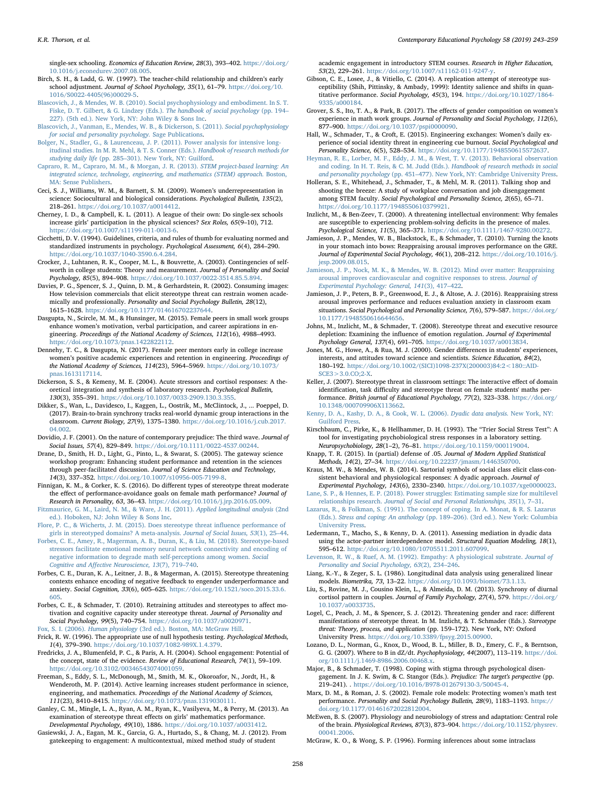single-sex schooling. Economics of Education Review, 28(3), 393-402. [https://doi.org/](https://doi.org/10.1016/j.econedurev.2007.08.005) [10.1016/j.econedurev.2007.08.005.](https://doi.org/10.1016/j.econedurev.2007.08.005)

- <span id="page-15-3"></span>Birch, S. H., & Ladd, G. W. (1997). The teacher-child relationship and children's early school adjustment. Journal of School Psychology, 35(1), 61–79. [https://doi.org/10.](https://doi.org/10.1016/S0022-4405(96)00029-5) [1016/S0022-4405\(96\)00029-5.](https://doi.org/10.1016/S0022-4405(96)00029-5)
- <span id="page-15-12"></span>[Blascovich, J., & Mendes, W. B. \(2010\). Social psychophysiology and embodiment. In S. T.](http://refhub.elsevier.com/S0361-476X(18)30201-7/h0045) [Fiske, D. T. Gilbert, & G. Lindzey \(Eds.\).](http://refhub.elsevier.com/S0361-476X(18)30201-7/h0045) The handbook of social psychology (pp. 194– [227\). \(5th ed.\). New York, NY: John Wiley & Sons Inc.](http://refhub.elsevier.com/S0361-476X(18)30201-7/h0045)
- <span id="page-15-24"></span>[Blascovich, J., Vanman, E., Mendes, W. B., & Dickerson, S. \(2011\).](http://refhub.elsevier.com/S0361-476X(18)30201-7/h0050) Social psychophysiology [for social and personality psychology.](http://refhub.elsevier.com/S0361-476X(18)30201-7/h0050) Sage Publications.
- <span id="page-15-30"></span>[Bolger, N., Stadler, G., & Laurenceau, J. P. \(2011\). Power analysis for intensive long](http://refhub.elsevier.com/S0361-476X(18)30201-7/h9015)[itudinal studies. In M. R. Mehl, & T. S. Conner \(Eds.\).](http://refhub.elsevier.com/S0361-476X(18)30201-7/h9015) Handbook of research methods for studying daily life (pp. 285–[301\). New York, NY: Guilford](http://refhub.elsevier.com/S0361-476X(18)30201-7/h9015).
- <span id="page-15-1"></span>[Capraro, R. M., Capraro, M. M., & Morgan, J. R. \(2013\).](http://refhub.elsevier.com/S0361-476X(18)30201-7/h0055) STEM project-based learning: An [integrated science, technology, engineering, and mathematics \(STEM\) approach.](http://refhub.elsevier.com/S0361-476X(18)30201-7/h0055) Boston, [MA: Sense Publishers](http://refhub.elsevier.com/S0361-476X(18)30201-7/h0055).
- Ceci, S. J., Williams, W. M., & Barnett, S. M. (2009). Women's underrepresentation in science: Sociocultural and biological considerations. Psychological Bulletin, 135(2), 218–261. <https://doi.org/10.1037/a0014412>.
- Cherney, I. D., & Campbell, K. L. (2011). A league of their own: Do single-sex schools increase girls' participation in the physical sciences? Sex Roles, 65(9–10), 712. [https://doi.org/10.1007/s11199-011-0013-6.](https://doi.org/10.1007/s11199-011-0013-6)
- <span id="page-15-35"></span>Cicchetti, D. V. (1994). Guidelines, criteria, and rules of thumb for evaluating normed and standardized instruments in psychology. Psychological Assessment, 6(4), 284–290. <https://doi.org/10.1037/1040-3590.6.4.284>.
- <span id="page-15-26"></span>Crocker, J., Luhtanen, R. K., Cooper, M. L., & Bouvrette, A. (2003). Contingencies of selfworth in college students: Theory and measurement. Journal of Personality and Social Psychology, 85(5), 894–908. <https://doi.org/10.1037/0022-3514.85.5.894>.
- <span id="page-15-11"></span>Davies, P. G., Spencer, S. J., Quinn, D. M., & Gerhardstein, R. (2002). Consuming images: How television commercials that elicit stereotype threat can restrain women academically and professionally. Personality and Social Psychology Bulletin, 28(12), 1615–1628. <https://doi.org/10.1177/014616702237644>.
- <span id="page-15-5"></span>Dasgupta, N., Scircle, M. M., & Hunsinger, M. (2015). Female peers in small work groups enhance women's motivation, verbal participation, and career aspirations in engineering. Proceedings of the National Academy of Sciences, 112(16), 4988–4993. <https://doi.org/10.1073/pnas.1422822112>.
- <span id="page-15-6"></span>Dennehy, T. C., & Dasgupta, N. (2017). Female peer mentors early in college increase women's positive academic experiences and retention in engineering. Proceedings of the National Academy of Sciences, 114(23), 5964–5969. [https://doi.org/10.1073/](https://doi.org/10.1073/pnas.1613117114) [pnas.1613117114](https://doi.org/10.1073/pnas.1613117114).
- <span id="page-15-20"></span>Dickerson, S. S., & Kemeny, M. E. (2004). Acute stressors and cortisol responses: A theoretical integration and synthesis of laboratory research. Psychological Bulletin, 130(3), 355–391. <https://doi.org/10.1037/0033-2909.130.3.355>.
- <span id="page-15-40"></span>Dikker, S., Wan, L., Davidesco, I., Kaggen, L., Oostrik, M., McClintock, J., ... Poeppel, D. (2017). Brain-to-brain synchrony tracks real-world dynamic group interactions in the classroom. Current Biology, 27(9), 1375–1380. [https://doi.org/10.1016/j.cub.2017.](https://doi.org/10.1016/j.cub.2017.04.002) [04.002](https://doi.org/10.1016/j.cub.2017.04.002).
- <span id="page-15-22"></span>Dovidio, J. F. (2001). On the nature of contemporary prejudice: The third wave. Journal of Social Issues, 57(4), 829–849. <https://doi.org/10.1111/0022-4537.00244>.
- <span id="page-15-0"></span>Drane, D., Smith, H. D., Light, G., Pinto, L., & Swarat, S. (2005). The gateway science workshop program: Enhancing student performance and retention in the sciences through peer-facilitated discussion. Journal of Science Education and Technology, 14(3), 337–352. [https://doi.org/10.1007/s10956-005-7199-8.](https://doi.org/10.1007/s10956-005-7199-8)
- <span id="page-15-15"></span>Finnigan, K. M., & Corker, K. S. (2016). Do different types of stereotype threat moderate the effect of performance-avoidance goals on female math performance? Journal of Research in Personality, 63, 36–43. [https://doi.org/10.1016/j.jrp.2016.05.009.](https://doi.org/10.1016/j.jrp.2016.05.009)
- <span id="page-15-38"></span>[Fitzmaurice, G. M., Laird, N. M., & Ware, J. H. \(2011\).](http://refhub.elsevier.com/S0361-476X(18)30201-7/h0115) Applied longitudinal analysis (2nd [ed.\). Hoboken, NJ: John Wiley & Sons Inc.](http://refhub.elsevier.com/S0361-476X(18)30201-7/h0115)
- <span id="page-15-10"></span>[Flore, P. C., & Wicherts, J. M. \(2015\). Does stereotype threat in](http://refhub.elsevier.com/S0361-476X(18)30201-7/h0120)fluence performance of [girls in stereotyped domains? A meta-analysis.](http://refhub.elsevier.com/S0361-476X(18)30201-7/h0120) Journal of Social Issues, 53(1), 25–44. [Forbes, C. E., Amey, R., Magerman, A. B., Duran, K., & Liu, M. \(2018\). Stereotype-based](http://refhub.elsevier.com/S0361-476X(18)30201-7/h0125)
- <span id="page-15-33"></span>[stressors facilitate emotional memory neural network connectivity and encoding of](http://refhub.elsevier.com/S0361-476X(18)30201-7/h0125) [negative information to degrade math self-perceptions among women.](http://refhub.elsevier.com/S0361-476X(18)30201-7/h0125) Social Cognitive and Aff[ective Neuroscience, 13](http://refhub.elsevier.com/S0361-476X(18)30201-7/h0125)(7), 719–740.
- <span id="page-15-23"></span>Forbes, C. E., Duran, K. A., Leitner, J. B., & Magerman, A. (2015). Stereotype threatening contexts enhance encoding of negative feedback to engender underperformance and anxiety. Social Cognition, 33(6), 605–625. [https://doi.org/10.1521/soco.2015.33.6.](https://doi.org/10.1521/soco.2015.33.6.605) [605](https://doi.org/10.1521/soco.2015.33.6.605).
- Forbes, C. E., & Schmader, T. (2010). Retraining attitudes and stereotypes to affect motivation and cognitive capacity under stereotype threat. Journal of Personality and Social Psychology, 99(5), 740–754. <https://doi.org/10.1037/a0020971>.
- <span id="page-15-31"></span>Fox, S. I. (2006). Human physiology [\(3rd ed.\). Boston, MA: McGraw Hill.](http://refhub.elsevier.com/S0361-476X(18)30201-7/h0140)
- <span id="page-15-29"></span>Frick, R. W. (1996). The appropriate use of null hypothesis testing. Psychological Methods, 1(4), 379–390. <https://doi.org/10.1037/1082-989X.1.4.379>. Fredricks, J. A., Blumenfeld, P. C., & Paris, A. H. (2004). School engagement: Potential of
- <span id="page-15-2"></span>the concept, state of the evidence. Review of Educational Research, 74(1), 59–109. <https://doi.org/10.3102/00346543074001059>.
- Freeman, S., Eddy, S. L., McDonough, M., Smith, M. K., Okoroafor, N., Jordt, H., & Wenderoth, M. P. (2014). Active learning increases student performance in science, engineering, and mathematics. Proceedings of the National Academy of Sciences, 111(23), 8410–8415. <https://doi.org/10.1073/pnas.1319030111>.
- <span id="page-15-16"></span>Ganley, C. M., Mingle, L. A., Ryan, A. M., Ryan, K., Vasilyeva, M., & Perry, M. (2013). An examination of stereotype threat effects on girls' mathematics performance. Developmental Psychology, 49(10), 1886. <https://doi.org/10.1037/a0031412>.
- Gasiewski, J. A., Eagan, M. K., Garcia, G. A., Hurtado, S., & Chang, M. J. (2012). From gatekeeping to engagement: A multicontextual, mixed method study of student

academic engagement in introductory STEM courses. Research in Higher Education, 53(2), 229–261. <https://doi.org/10.1007/s11162-011-9247-y>.

- <span id="page-15-17"></span>Gibson, C. E., Losee, J., & Vitiello, C. (2014). A replication attempt of stereotype susceptibility (Shih, Pittinsky, & Ambady, 1999): Identity salience and shifts in quantitative performance. Social Psychology, 45(3), 194. [https://doi.org/10.1027/1864-](https://doi.org/10.1027/1864-9335/a000184) [9335/a000184.](https://doi.org/10.1027/1864-9335/a000184)
- <span id="page-15-7"></span>Grover, S. S., Ito, T. A., & Park, B. (2017). The effects of gender composition on women's experience in math work groups. Journal of Personality and Social Psychology, 112(6), 877–900. [https://doi.org/10.1037/pspi0000090.](https://doi.org/10.1037/pspi0000090)
- Hall, W., Schmader, T., & Croft, E. (2015). Engineering exchanges: Women's daily experience of social identity threat in engineering cue burnout. Social Psychological and Personality Science, 6(5), 528–534. <https://doi.org/10.1177/1948550615572637>.
- <span id="page-15-36"></span>[Heyman, R. E., Lorber, M. F., Eddy, J. M., & West, T. V. \(2013\). Behavioral observation](http://refhub.elsevier.com/S0361-476X(18)30201-7/h0185) [and coding. In H. T. Reis, & C. M. Judd \(Eds.\).](http://refhub.elsevier.com/S0361-476X(18)30201-7/h0185) Handbook of research methods in social and personality psychology (pp. 451–[477\). New York, NY: Cambridge University Press.](http://refhub.elsevier.com/S0361-476X(18)30201-7/h0185)
- Holleran, S. E., Whitehead, J., Schmader, T., & Mehl, M. R. (2011). Talking shop and shooting the breeze: A study of workplace conversation and job disengagement among STEM faculty. Social Psychological and Personality Science, 2(65), 65–71. [https://doi.org/10.1177/1948550610379921.](https://doi.org/10.1177/1948550610379921)
- <span id="page-15-9"></span>Inzlicht, M., & Ben-Zeev, T. (2000). A threatening intellectual environment: Why females are susceptible to experiencing problem-solving deficits in the presence of males. Psychological Science, 11(5), 365–371. <https://doi.org/10.1111/1467-9280.00272>.
- Jamieson, J. P., Mendes, W. B., Blackstock, E., & Schmader, T. (2010). Turning the knots in your stomach into bows: Reappraising arousal improves performance on the GRE. Journal of Experimental Social Psychology, 46(1), 208–212. [https://doi.org/10.1016/j.](https://doi.org/10.1016/j.jesp.2009.08.015) [jesp.2009.08.015](https://doi.org/10.1016/j.jesp.2009.08.015).
- <span id="page-15-13"></span>[Jamieson, J. P., Nock, M. K., & Mendes, W. B. \(2012\). Mind over matter: Reappraising](http://refhub.elsevier.com/S0361-476X(18)30201-7/h9000) [arousal improves cardiovascular and cognitive responses to stress.](http://refhub.elsevier.com/S0361-476X(18)30201-7/h9000) Journal of [Experimental Psychology: General, 141](http://refhub.elsevier.com/S0361-476X(18)30201-7/h9000)(3), 417–422.
- <span id="page-15-28"></span>Jamieson, J. P., Peters, B. P., Greenwood, E. J., & Altose, A. J. (2016). Reappraising stress arousal improves performance and reduces evaluation anxiety in classroom exam situations. Social Psychological and Personality Science, 7(6), 579-587. [https://doi.org/](https://doi.org/10.1177/1948550616644656) [10.1177/1948550616644656](https://doi.org/10.1177/1948550616644656).
- <span id="page-15-18"></span>Johns, M., Inzlicht, M., & Schmader, T. (2008). Stereotype threat and executive resource depletion: Examining the influence of emotion regulation. Journal of Experimental Psychology General, 137(4), 691–705. <https://doi.org/10.1037/a0013834>.
- Jones, M. G., Howe, A., & Rua, M. J. (2000). Gender differences in students' experiences, interests, and attitudes toward science and scientists. Science Education, 84(2), 180–192. [https://doi.org/10.1002/\(SICI\)1098-237X\(200003\)84:2<180::AID-](https://doi.org/10.1002/(SICI)1098-237X(200003)84:2<180::AID-SCE3>3.0.CO;2-X)[SCE3>3.0.CO;2-X](https://doi.org/10.1002/(SICI)1098-237X(200003)84:2<180::AID-SCE3>3.0.CO;2-X).
- Keller, J. (2007). Stereotype threat in classroom settings: The interactive effect of domain identification, task difficulty and stereotype threat on female students' maths performance. British journal of Educational Psychology, 77(2), 323–338. [https://doi.org/](https://doi.org/10.1348/000709906X113662) [10.1348/000709906X113662.](https://doi.org/10.1348/000709906X113662)
- <span id="page-15-37"></span>[Kenny, D. A., Kashy, D. A., & Cook, W. L. \(2006\).](http://refhub.elsevier.com/S0361-476X(18)30201-7/h0225) Dyadic data analysis. New York, NY: [Guilford Press.](http://refhub.elsevier.com/S0361-476X(18)30201-7/h0225)
- <span id="page-15-25"></span>Kirschbaum, C., Pirke, K., & Hellhammer, D. H. (1993). The "Trier Social Stress Test": A tool for investigating psychobiological stress responses in a laboratory setting. Neuropsychobiology, 28(1–2), 76–81. <https://doi.org/10.1159/000119004>.
- Knapp, T. R. (2015). In (partial) defense of .05. Journal of Modern Applied Statistical Methods, 14(2), 27–34. [https://doi.org/10.22237/jmasm/1446350700.](https://doi.org/10.22237/jmasm/1446350700)
- <span id="page-15-4"></span>Kraus, M. W., & Mendes, W. B. (2014). Sartorial symbols of social class elicit class-consistent behavioral and physiological responses: A dyadic approach. Journal of Experimental Psychology, 143(6), 2330–2340. <https://doi.org/10.1037/xge0000023>.
- [Lane, S. P., & Hennes, E. P. \(2018\). Power struggles: Estimating sample size for multilevel](http://refhub.elsevier.com/S0361-476X(18)30201-7/h9020) relationships research. [Journal of Social and Personal Relationships, 35](http://refhub.elsevier.com/S0361-476X(18)30201-7/h9020)(1), 7–31.
- [Lazarus, R., & Folkman, S. \(1991\). The concept of coping. In A. Monat, & R. S. Lazarus](http://refhub.elsevier.com/S0361-476X(18)30201-7/h0245) (Eds.). Stress and coping: An anthology (pp. 189–[206\). \(3rd ed.\). New York: Columbia](http://refhub.elsevier.com/S0361-476X(18)30201-7/h0245) [University Press](http://refhub.elsevier.com/S0361-476X(18)30201-7/h0245).
- <span id="page-15-39"></span>Ledermann, T., Macho, S., & Kenny, D. A. (2011). Assessing mediation in dyadic data using the actor-partner interdependence model. Structural Equation Modeling, 18(1), 595–612. <https://doi.org/10.1080/10705511.2011.607099>.
- <span id="page-15-21"></span>[Levenson, R. W., & Ruef, A. M. \(1992\). Empathy: A physiological substrate.](http://refhub.elsevier.com/S0361-476X(18)30201-7/h0255) Journal of [Personality and Social Psychology, 63](http://refhub.elsevier.com/S0361-476X(18)30201-7/h0255)(2), 234–246.
- Liang, K.-Y., & Zeger, S. L. (1986). Longitudinal data analysis using generalized linear models. Biometrika, 73, 13–22. <https://doi.org/10.1093/biomet/73.1.13>.
- <span id="page-15-14"></span>Liu, S., Rovine, M. J., Cousino Klein, L., & Almeida, D. M. (2013). Synchrony of diurnal cortisol pattern in couples. Journal of Family Psychology, 27(4), 579. [https://doi.org/](https://doi.org/10.1037/a0033735) [10.1037/a0033735](https://doi.org/10.1037/a0033735).
- <span id="page-15-8"></span>Logel, C., Peach, J. M., & Spencer, S. J. (2012). Threatening gender and race: different manifestations of stereotype threat. In M. Inzlicht, & T. Schmader (Eds.). Stereotype threat: Theory, process, and application (pp. 159–172). New York, NY: Oxford University Press. [https://doi.org/10.3389/fpsyg.2015.00900.](https://doi.org/10.3389/fpsyg.2015.00900)
- <span id="page-15-32"></span>Lozano, D. L., Norman, G., Knox, D., Wood, B. L., Miller, B. D., Emery, C. F., & Berntson, G. G. (2007). Where to B in dZ/dt. Psychophysiology, 44(2007), 113–119. [https://doi.](https://doi.org/10.1111/j.1469-8986.2006.00468.x) [org/10.1111/j.1469-8986.2006.00468.x.](https://doi.org/10.1111/j.1469-8986.2006.00468.x)
- <span id="page-15-27"></span>Major, B., & Schmader, T. (1998). Coping with stigma through psychological disengagement. In J. K. Swim, & C. Stangor (Eds.). Prejudice: The target's perspective (pp. 219–241). . [https://doi.org/10.1016/B978-012679130-3/50045-4.](https://doi.org/10.1016/B978-012679130-3/50045-4)
- Marx, D. M., & Roman, J. S. (2002). Female role models: Protecting women's math test performance. Personality and Social Psychology Bulletin, 28(9), 1183–1193. [https://](https://doi.org/10.1177/01461672022812004) [doi.org/10.1177/01461672022812004](https://doi.org/10.1177/01461672022812004).
- <span id="page-15-19"></span>McEwen, B. S. (2007). Physiology and neurobiology of stress and adaptation: Central role of the brain. Physiological Reviews, 87(3), 873–904. [https://doi.org/10.1152/physrev.](https://doi.org/10.1152/physrev.00041.2006) [00041.2006.](https://doi.org/10.1152/physrev.00041.2006)
- <span id="page-15-34"></span>McGraw, K. O., & Wong, S. P. (1996). Forming inferences about some intraclass